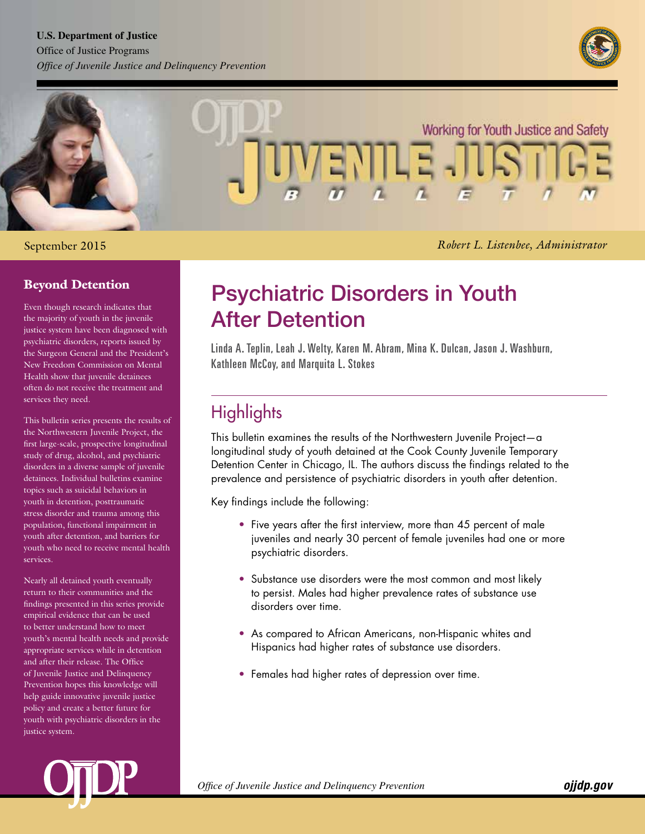#### **U.S. Department of Justice** Office of Justice Programs

*Office of Juvenile Justice and Delinquency Prevention* 





#### September 2015

*Melodee Hanes, Acting Administrator Robert L. Listenbee, Administrator*

### Beyond Detention

Even though research indicates that the majority of youth in the juvenile justice system have been diagnosed with psychiatric disorders, reports issued by the Surgeon General and the President's New Freedom Commission on Mental Health show that juvenile detainees often do not receive the treatment and services they need.

This bulletin series presents the results of the Northwestern Juvenile Project, the first large-scale, prospective longitudinal study of drug, alcohol, and psychiatric disorders in a diverse sample of juvenile detainees. Individual bulletins examine topics such as suicidal behaviors in youth in detention, posttraumatic stress disorder and trauma among this population, functional impairment in youth after detention, and barriers for youth who need to receive mental health services.

Nearly all detained youth eventually return to their communities and the findings presented in this series provide empirical evidence that can be used to better understand how to meet youth's mental health needs and provide appropriate services while in detention and after their release. The Office of Juvenile Justice and Delinquency Prevention hopes this knowledge will help guide innovative juvenile justice policy and create a better future for youth with psychiatric disorders in the justice system.

# Psychiatric Disorders in Youth After Detention

Linda A. Teplin, Leah J. Welty, Karen M. Abram, Mina K. Dulcan, Jason J. Washburn, Kathleen McCoy, and Marquita L. Stokes

# **Highlights**

This bulletin examines the results of the Northwestern Juvenile Project—a longitudinal study of youth detained at the Cook County Juvenile Temporary Detention Center in Chicago, IL. The authors discuss the findings related to the prevalence and persistence of psychiatric disorders in youth after detention.

Key findings include the following:

- Five years after the first interview, more than 45 percent of male juveniles and nearly 30 percent of female juveniles had one or more psychiatric disorders.
- Substance use disorders were the most common and most likely to persist. Males had higher prevalence rates of substance use disorders over time.
- As compared to African Americans, non-Hispanic whites and Hispanics had higher rates of substance use disorders.
- Females had higher rates of depression over time.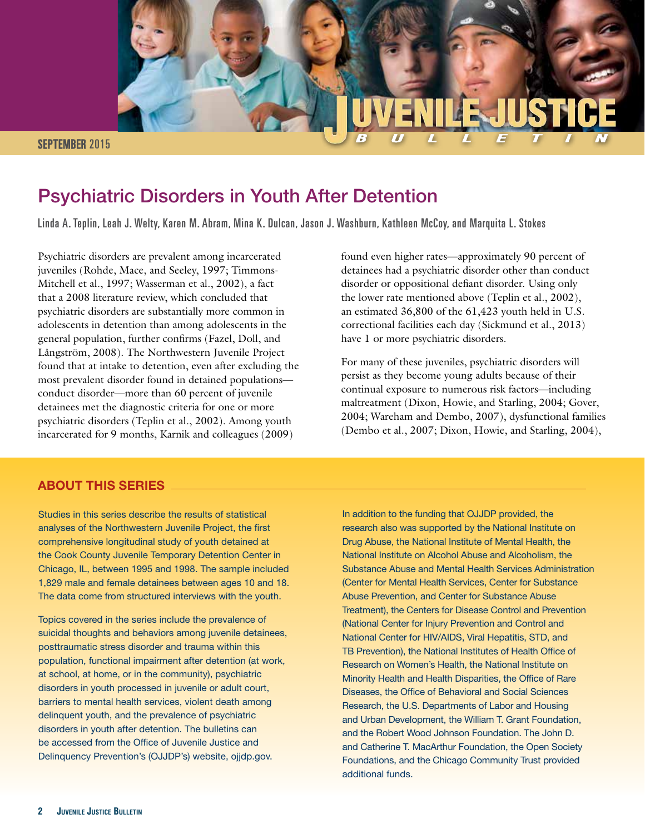

# Psychiatric Disorders in Youth After Detention

Linda A. Teplin, Leah J. Welty, Karen M. Abram, Mina K. Dulcan, Jason J. Washburn, Kathleen McCoy, and Marquita L. Stokes

Psychiatric disorders are prevalent among incarcerated juveniles (Rohde, Mace, and Seeley, 1997; Timmons-Mitchell et al., 1997; Wasserman et al., 2002), a fact that a 2008 literature review, which concluded that psychiatric disorders are substantially more common in adolescents in detention than among adolescents in the general population, further confirms (Fazel, Doll, and Långström, 2008). The Northwestern Juvenile Project found that at intake to detention, even after excluding the most prevalent disorder found in detained populations conduct disorder—more than 60 percent of juvenile detainees met the diagnostic criteria for one or more psychiatric disorders (Teplin et al., 2002). Among youth incarcerated for 9 months, Karnik and colleagues (2009)

#### ABOUT THIS SERIES

Studies in this series describe the results of statistical analyses of the Northwestern Juvenile Project, the first comprehensive longitudinal study of youth detained at the Cook County Juvenile Temporary Detention Center in Chicago, IL, between 1995 and 1998. The sample included 1,829 male and female detainees between ages 10 and 18. The data come from structured interviews with the youth.

Topics covered in the series include the prevalence of suicidal thoughts and behaviors among juvenile detainees, posttraumatic stress disorder and trauma within this population, functional impairment after detention (at work, at school, at home, or in the community), psychiatric disorders in youth processed in juvenile or adult court, barriers to mental health services, violent death among delinquent youth, and the prevalence of psychiatric disorders in youth after detention. The bulletins can be accessed from the Office of Juvenile Justice and Delinquency Prevention's (OJJDP's) website,<ojjdp.gov>.

have 1 or more psychiatric disorders. found even higher rates—approximately 90 percent of detainees had a psychiatric disorder other than conduct disorder or oppositional defiant disorder. Using only the lower rate mentioned above (Teplin et al., 2002), an estimated 36,800 of the 61,423 youth held in U.S. correctional facilities each day (Sickmund et al., 2013)

For many of these juveniles, psychiatric disorders will persist as they become young adults because of their continual exposure to numerous risk factors—including maltreatment (Dixon, Howie, and Starling, 2004; Gover, 2004; Wareham and Dembo, 2007), dysfunctional families (Dembo et al., 2007; Dixon, Howie, and Starling, 2004),

In addition to the funding that OJJDP provided, the research also was supported by the National Institute on Drug Abuse, the National Institute of Mental Health, the National Institute on Alcohol Abuse and Alcoholism, the Substance Abuse and Mental Health Services Administration (Center for Mental Health Services, Center for Substance Abuse Prevention, and Center for Substance Abuse Treatment), the Centers for Disease Control and Prevention (National Center for Injury Prevention and Control and National Center for HIV/AIDS, Viral Hepatitis, STD, and TB Prevention), the National Institutes of Health Office of Research on Women's Health, the National Institute on Minority Health and Health Disparities, the Office of Rare Diseases, the Office of Behavioral and Social Sciences Research, the U.S. Departments of Labor and Housing and Urban Development, the William T. Grant Foundation, and the Robert Wood Johnson Foundation. The John D. and Catherine T. MacArthur Foundation, the Open Society Foundations, and the Chicago Community Trust provided additional funds.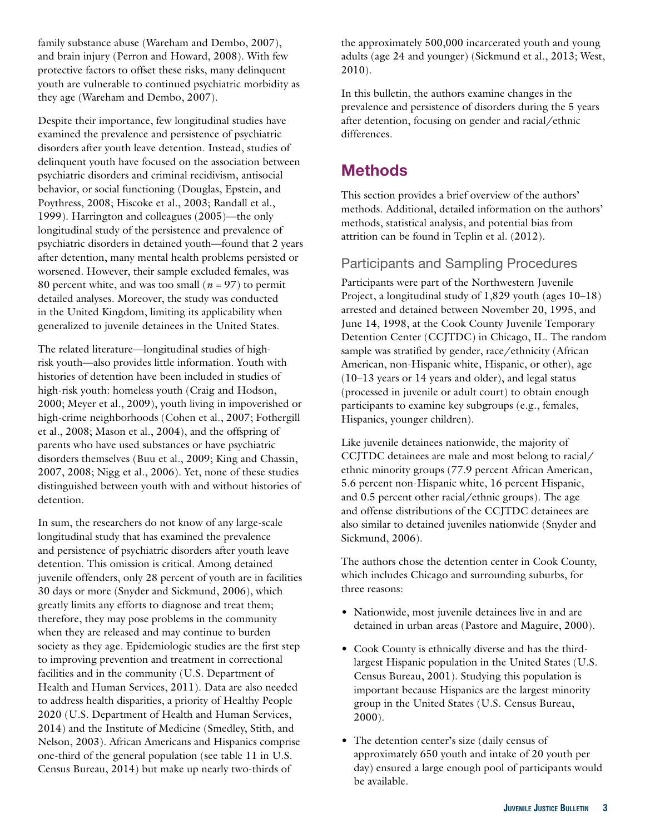family substance abuse (Wareham and Dembo, 2007), and brain injury (Perron and Howard, 2008). With few protective factors to offset these risks, many delinquent youth are vulnerable to continued psychiatric morbidity as they age (Wareham and Dembo, 2007).

Despite their importance, few longitudinal studies have examined the prevalence and persistence of psychiatric disorders after youth leave detention. Instead, studies of delinquent youth have focused on the association between psychiatric disorders and criminal recidivism, antisocial behavior, or social functioning (Douglas, Epstein, and Poythress, 2008; Hiscoke et al., 2003; Randall et al., 1999). Harrington and colleagues (2005)—the only longitudinal study of the persistence and prevalence of psychiatric disorders in detained youth—found that 2 years after detention, many mental health problems persisted or worsened. However, their sample excluded females, was 80 percent white, and was too small ( $n = 97$ ) to permit detailed analyses. Moreover, the study was conducted in the United Kingdom, limiting its applicability when generalized to juvenile detainees in the United States.

The related literature—longitudinal studies of highrisk youth—also provides little information. Youth with histories of detention have been included in studies of high-risk youth: homeless youth (Craig and Hodson, 2000; Meyer et al., 2009), youth living in impoverished or high-crime neighborhoods (Cohen et al., 2007; Fothergill et al., 2008; Mason et al., 2004), and the offspring of parents who have used substances or have psychiatric disorders themselves (Buu et al., 2009; King and Chassin, 2007, 2008; Nigg et al., 2006). Yet, none of these studies distinguished between youth with and without histories of detention.

In sum, the researchers do not know of any large-scale longitudinal study that has examined the prevalence and persistence of psychiatric disorders after youth leave detention. This omission is critical. Among detained juvenile offenders, only 28 percent of youth are in facilities 30 days or more (Snyder and Sickmund, 2006), which greatly limits any efforts to diagnose and treat them; therefore, they may pose problems in the community when they are released and may continue to burden society as they age. Epidemiologic studies are the first step to improving prevention and treatment in correctional facilities and in the community (U.S. Department of Health and Human Services, 2011). Data are also needed to address health disparities, a priority of Healthy People 2020 (U.S. Department of Health and Human Services, 2014) and the Institute of Medicine (Smedley, Stith, and Nelson, 2003). African Americans and Hispanics comprise one-third of the general population (see table 11 in U.S. Census Bureau, 2014) but make up nearly two-thirds of

the approximately 500,000 incarcerated youth and young adults (age 24 and younger) (Sickmund et al., 2013; West, 2010).

In this bulletin, the authors examine changes in the prevalence and persistence of disorders during the 5 years after detention, focusing on gender and racial/ethnic differences.

## **Methods**

This section provides a brief overview of the authors' methods. Additional, detailed information on the authors' methods, statistical analysis, and potential bias from attrition can be found in Teplin et al. (2012).

### Participants and Sampling Procedures

Participants were part of the Northwestern Juvenile Project, a longitudinal study of 1,829 youth (ages 10–18) arrested and detained between November 20, 1995, and June 14, 1998, at the Cook County Juvenile Temporary Detention Center (CCJTDC) in Chicago, IL. The random sample was stratified by gender, race/ethnicity (African American, non-Hispanic white, Hispanic, or other), age (10–13 years or 14 years and older), and legal status (processed in juvenile or adult court) to obtain enough participants to examine key subgroups (e.g., females, Hispanics, younger children).

Like juvenile detainees nationwide, the majority of CCJTDC detainees are male and most belong to racial/ ethnic minority groups (77.9 percent African American, 5.6 percent non-Hispanic white, 16 percent Hispanic, and 0.5 percent other racial/ethnic groups). The age and offense distributions of the CCJTDC detainees are also similar to detained juveniles nationwide (Snyder and Sickmund, 2006).

The authors chose the detention center in Cook County, which includes Chicago and surrounding suburbs, for three reasons:

- Nationwide, most juvenile detainees live in and are detained in urban areas (Pastore and Maguire, 2000).
- Cook County is ethnically diverse and has the thirdlargest Hispanic population in the United States (U.S. Census Bureau, 2001). Studying this population is important because Hispanics are the largest minority group in the United States (U.S. Census Bureau, 2000).
- The detention center's size (daily census of approximately 650 youth and intake of 20 youth per day) ensured a large enough pool of participants would be available.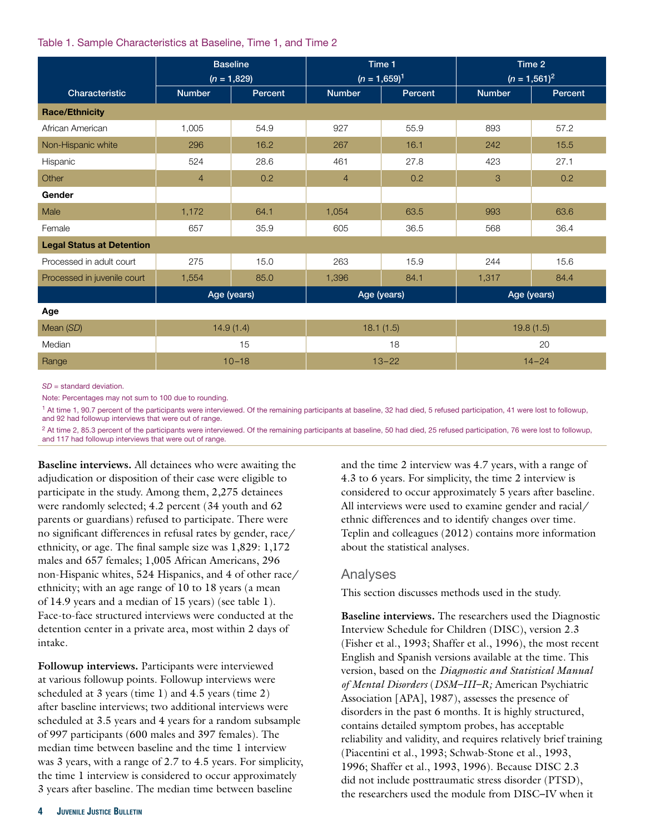#### Table 1. Sample Characteristics at Baseline, Time 1, and Time 2

|                                  | <b>Baseline</b><br>$(n = 1,829)$ |         |                | Time 1<br>$(n = 1,659)^{1}$ | Time 2<br>$(n = 1,561)^2$ |         |  |
|----------------------------------|----------------------------------|---------|----------------|-----------------------------|---------------------------|---------|--|
| Characteristic                   | <b>Number</b>                    | Percent | <b>Number</b>  | Percent                     | <b>Number</b>             | Percent |  |
| <b>Race/Ethnicity</b>            |                                  |         |                |                             |                           |         |  |
| African American                 | 1,005                            | 54.9    | 927            | 55.9                        | 893                       | 57.2    |  |
| Non-Hispanic white               | 296                              | 16.2    | 267            | 16.1                        | 242                       | 15.5    |  |
| Hispanic                         | 524                              | 28.6    | 461            | 27.8                        | 423                       | 27.1    |  |
| Other                            | $\overline{4}$                   | 0.2     | $\overline{4}$ | 0.2                         | 3                         | 0.2     |  |
| Gender                           |                                  |         |                |                             |                           |         |  |
| Male                             | 1,172                            | 64.1    | 1,054          | 63.5                        | 993                       | 63.6    |  |
| Female                           | 657                              | 35.9    | 36.5<br>605    |                             | 568                       | 36.4    |  |
| <b>Legal Status at Detention</b> |                                  |         |                |                             |                           |         |  |
| Processed in adult court         | 275                              | 15.0    | 263            | 15.9                        | 244                       | 15.6    |  |
| Processed in juvenile court      | 1,554                            | 85.0    | 1,396          | 84.1                        | 1,317                     | 84.4    |  |
|                                  | Age (years)                      |         |                | Age (years)                 | Age (years)               |         |  |
| Age                              |                                  |         |                |                             |                           |         |  |
| Mean (SD)                        | 14.9(1.4)                        |         |                | 18.1(1.5)                   | 19.8(1.5)                 |         |  |
| Median                           | 15                               |         |                | 18                          | 20                        |         |  |
| Range                            | $10 - 18$                        |         |                | $13 - 22$                   | $14 - 24$                 |         |  |

*SD* = standard deviation.

Note: Percentages may not sum to 100 due to rounding.

1 At time 1, 90.7 percent of the participants were interviewed. Of the remaining participants at baseline, 32 had died, 5 refused participation, 41 were lost to followup, and 92 had followup interviews that were out of range.

<sup>2</sup> At time 2, 85.3 percent of the participants were interviewed. Of the remaining participants at baseline, 50 had died, 25 refused participation, 76 were lost to followup, and 117 had followup interviews that were out of range.

**Baseline interviews.** All detainees who were awaiting the adjudication or disposition of their case were eligible to participate in the study. Among them, 2,275 detainees were randomly selected; 4.2 percent (34 youth and 62 parents or guardians) refused to participate. There were no significant differences in refusal rates by gender, race/ ethnicity, or age. The final sample size was 1,829: 1,172 males and 657 females; 1,005 African Americans, 296 non-Hispanic whites, 524 Hispanics, and 4 of other race/ ethnicity; with an age range of 10 to 18 years (a mean of 14.9 years and a median of 15 years) (see table 1). Face-to-face structured interviews were conducted at the detention center in a private area, most within 2 days of intake.

**Followup interviews.** Participants were interviewed at various followup points. Followup interviews were scheduled at 3 years (time 1) and 4.5 years (time 2) after baseline interviews; two additional interviews were scheduled at 3.5 years and 4 years for a random subsample of 997 participants (600 males and 397 females). The median time between baseline and the time 1 interview was 3 years, with a range of 2.7 to 4.5 years. For simplicity, the time 1 interview is considered to occur approximately 3 years after baseline. The median time between baseline

and the time 2 interview was 4.7 years, with a range of 4.3 to 6 years. For simplicity, the time 2 interview is considered to occur approximately 5 years after baseline. All interviews were used to examine gender and racial/ ethnic differences and to identify changes over time. Teplin and colleagues (2012) contains more information about the statistical analyses.

#### Analyses

This section discusses methods used in the study.

**Baseline interviews.** The researchers used the Diagnostic Interview Schedule for Children (DISC), version 2.3 (Fisher et al., 1993; Shaffer et al., 1996), the most recent English and Spanish versions available at the time. This version, based on the *Diagnostic and Statistical Manual of Mental Disorders* (*DSM–III–R;* American Psychiatric Association [APA], 1987), assesses the presence of disorders in the past 6 months. It is highly structured, contains detailed symptom probes, has acceptable reliability and validity, and requires relatively brief training (Piacentini et al., 1993; Schwab-Stone et al., 1993, 1996; Shaffer et al., 1993, 1996). Because DISC 2.3 did not include posttraumatic stress disorder (PTSD), the researchers used the module from DISC–IV when it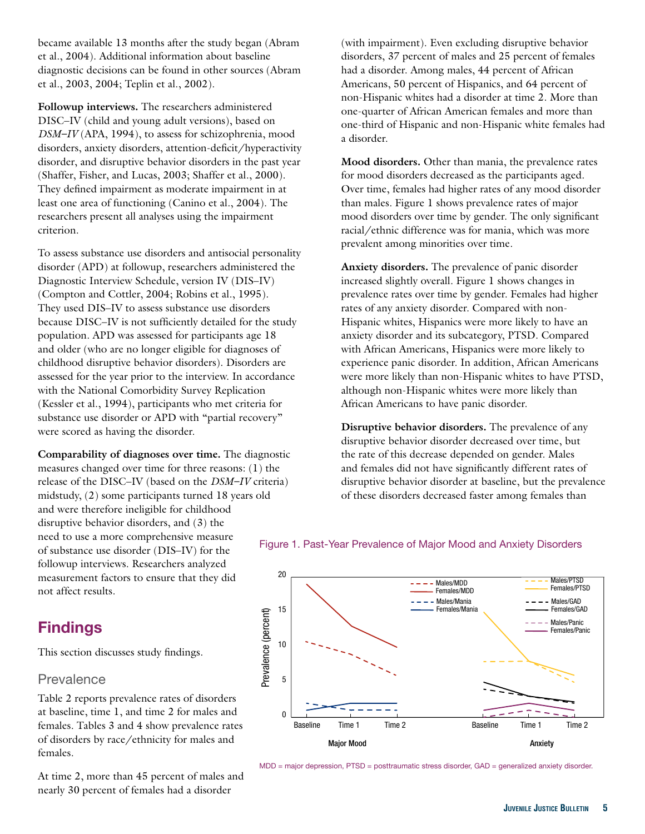became available 13 months after the study began (Abram et al., 2004). Additional information about baseline diagnostic decisions can be found in other sources (Abram et al., 2003, 2004; Teplin et al., 2002).

**Followup interviews.** The researchers administered DISC–IV (child and young adult versions), based on *DSM–IV* (APA, 1994), to assess for schizophrenia, mood disorders, anxiety disorders, attention-deficit/hyperactivity disorder, and disruptive behavior disorders in the past year (Shaffer, Fisher, and Lucas, 2003; Shaffer et al., 2000). They defined impairment as moderate impairment in at least one area of functioning (Canino et al., 2004). The researchers present all analyses using the impairment criterion.

To assess substance use disorders and antisocial personality disorder (APD) at followup, researchers administered the Diagnostic Interview Schedule, version IV (DIS–IV) (Compton and Cottler, 2004; Robins et al., 1995). They used DIS–IV to assess substance use disorders because DISC–IV is not sufficiently detailed for the study population. APD was assessed for participants age 18 and older (who are no longer eligible for diagnoses of childhood disruptive behavior disorders). Disorders are assessed for the year prior to the interview. In accordance with the National Comorbidity Survey Replication (Kessler et al., 1994), participants who met criteria for substance use disorder or APD with "partial recovery" were scored as having the disorder.

**Comparability of diagnoses over time.** The diagnostic measures changed over time for three reasons: (1) the release of the DISC–IV (based on the *DSM–IV* criteria) midstudy, (2) some participants turned 18 years old and were therefore ineligible for childhood disruptive behavior disorders, and (3) the need to use a more comprehensive measure<br>of substance use disorder (DIS–IV) for the Figure 1. Past-Year Prevalence of Major Mood and Anxiety Disorders followup interviews. Researchers analyzed measurement factors to ensure that they did 20 not affect results.

### **Findings**

This section discusses study findings.

### Prevalence

females. Table 2 reports prevalence rates of disorders at baseline, time 1, and time 2 for males and

At time 2, more than 45 percent of males and nearly 30 percent of females had a disorder

(with impairment). Even excluding disruptive behavior disorders, 37 percent of males and 25 percent of females had a disorder. Among males, 44 percent of African Americans, 50 percent of Hispanics, and 64 percent of non-Hispanic whites had a disorder at time 2. More than one-quarter of African American females and more than one-third of Hispanic and non-Hispanic white females had a disorder.

**Mood disorders.** Other than mania, the prevalence rates for mood disorders decreased as the participants aged. Over time, females had higher rates of any mood disorder than males. Figure 1 shows prevalence rates of major mood disorders over time by gender. The only significant racial/ethnic difference was for mania, which was more prevalent among minorities over time.

**Anxiety disorders.** The prevalence of panic disorder increased slightly overall. Figure 1 shows changes in prevalence rates over time by gender. Females had higher rates of any anxiety disorder. Compared with non-Hispanic whites, Hispanics were more likely to have an anxiety disorder and its subcategory, PTSD. Compared with African Americans, Hispanics were more likely to experience panic disorder. In addition, African Americans were more likely than non-Hispanic whites to have PTSD, although non-Hispanic whites were more likely than African Americans to have panic disorder.

**Disruptive behavior disorders.** The prevalence of any disruptive behavior disorder decreased over time, but the rate of this decrease depended on gender. Males and females did not have significantly different rates of disruptive behavior disorder at baseline, but the prevalence of these disorders decreased faster among females than



MDD = major depression, PTSD = posttraumatic stress disorder, GAD = generalized anxiety disorder.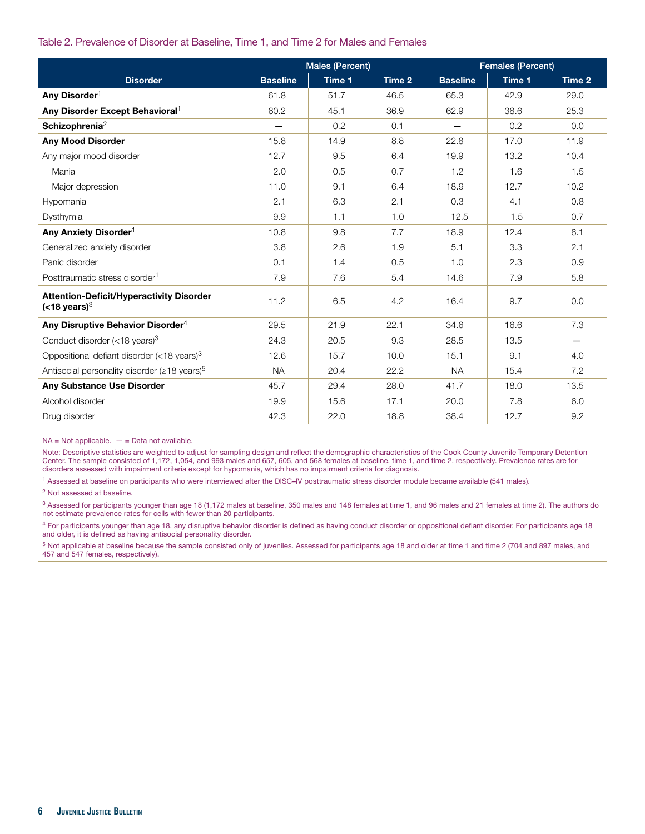#### Table 2. Prevalence of Disorder at Baseline, Time 1, and Time 2 for Males and Females

|                                                                                    | Males (Percent) |        |        | <b>Females (Percent)</b> |        |        |  |
|------------------------------------------------------------------------------------|-----------------|--------|--------|--------------------------|--------|--------|--|
| <b>Disorder</b>                                                                    | <b>Baseline</b> | Time 1 | Time 2 | <b>Baseline</b>          | Time 1 | Time 2 |  |
| Any Disorder <sup>1</sup>                                                          | 61.8            | 51.7   | 46.5   | 65.3                     | 42.9   | 29.0   |  |
| Any Disorder Except Behavioral <sup>1</sup>                                        | 60.2            | 45.1   | 36.9   | 62.9                     | 38.6   | 25.3   |  |
| Schizophrenia <sup>2</sup>                                                         |                 | 0.2    | 0.1    |                          | 0.2    | 0.0    |  |
| <b>Any Mood Disorder</b>                                                           | 15.8            | 14.9   | 8.8    | 22.8                     | 17.0   | 11.9   |  |
| Any major mood disorder                                                            | 12.7            | 9.5    | 6.4    | 19.9                     | 13.2   | 10.4   |  |
| Mania                                                                              | 2.0             | 0.5    | 0.7    | 1.2                      | 1.6    | 1.5    |  |
| Major depression                                                                   | 11.0            | 9.1    | 6.4    | 18.9                     | 12.7   | 10.2   |  |
| Hypomania                                                                          | 2.1             | 6.3    | 2.1    | 0.3                      | 4.1    | 0.8    |  |
| Dysthymia                                                                          | 9.9             | 1.1    | 1.0    | 12.5                     | 1.5    | 0.7    |  |
| Any Anxiety Disorder <sup>1</sup>                                                  | 10.8            | 9.8    | 7.7    | 18.9                     | 12.4   | 8.1    |  |
| Generalized anxiety disorder                                                       | 3.8             | 2.6    | 1.9    | 5.1                      | 3.3    | 2.1    |  |
| Panic disorder                                                                     | 0.1             | 1.4    | 0.5    | 1.0                      | 2.3    | 0.9    |  |
| Posttraumatic stress disorder <sup>1</sup>                                         | 7.9             | 7.6    | 5.4    | 14.6                     | 7.9    | 5.8    |  |
| <b>Attention-Deficit/Hyperactivity Disorder</b><br>( <b>18</b> years) <sup>3</sup> | 11.2            | 6.5    | 4.2    | 16.4                     | 9.7    | 0.0    |  |
| Any Disruptive Behavior Disorder <sup>4</sup>                                      | 29.5            | 21.9   | 22.1   | 34.6                     | 16.6   | 7.3    |  |
| Conduct disorder $(<18$ years) <sup>3</sup>                                        | 24.3            | 20.5   | 9.3    | 28.5                     | 13.5   |        |  |
| Oppositional defiant disorder (<18 years) $3$                                      | 12.6            | 15.7   | 10.0   | 15.1                     | 9.1    | 4.0    |  |
| Antisocial personality disorder ( $\geq$ 18 years) <sup>5</sup>                    | <b>NA</b>       | 20.4   | 22.2   | <b>NA</b>                | 15.4   | 7.2    |  |
| <b>Any Substance Use Disorder</b>                                                  | 45.7            | 29.4   | 28.0   | 41.7                     | 18.0   | 13.5   |  |
| Alcohol disorder                                                                   | 19.9            | 15.6   | 17.1   | 20.0                     | 7.8    | 6.0    |  |
| Drug disorder                                                                      | 42.3            | 22.0   | 18.8   | 38.4                     | 12.7   | 9.2    |  |

 $NA = Not applicable. - = Data not available.$ 

Note: Descriptive statistics are weighted to adjust for sampling design and reflect the demographic characteristics of the Cook County Juvenile Temporary Detention Center. The sample consisted of 1,172, 1,054, and 993 males and 657, 605, and 568 females at baseline, time 1, and time 2, respectively. Prevalence rates are for disorders assessed with impairment criteria except for hypomania, which has no impairment criteria for diagnosis.

1 Assessed at baseline on participants who were interviewed after the DISC**–**IV posttraumatic stress disorder module became available (541 males).

2 Not assessed at baseline.

<sup>3</sup> Assessed for participants younger than age 18 (1,172 males at baseline, 350 males and 148 females at time 1, and 96 males and 21 females at time 2). The authors do not estimate prevalence rates for cells with fewer than 20 participants.

4 For participants younger than age 18, any disruptive behavior disorder is defined as having conduct disorder or oppositional defiant disorder. For participants age 18 and older, it is defined as having antisocial personality disorder.

5 Not applicable at baseline because the sample consisted only of juveniles. Assessed for participants age 18 and older at time 1 and time 2 (704 and 897 males, and 457 and 547 females, respectively).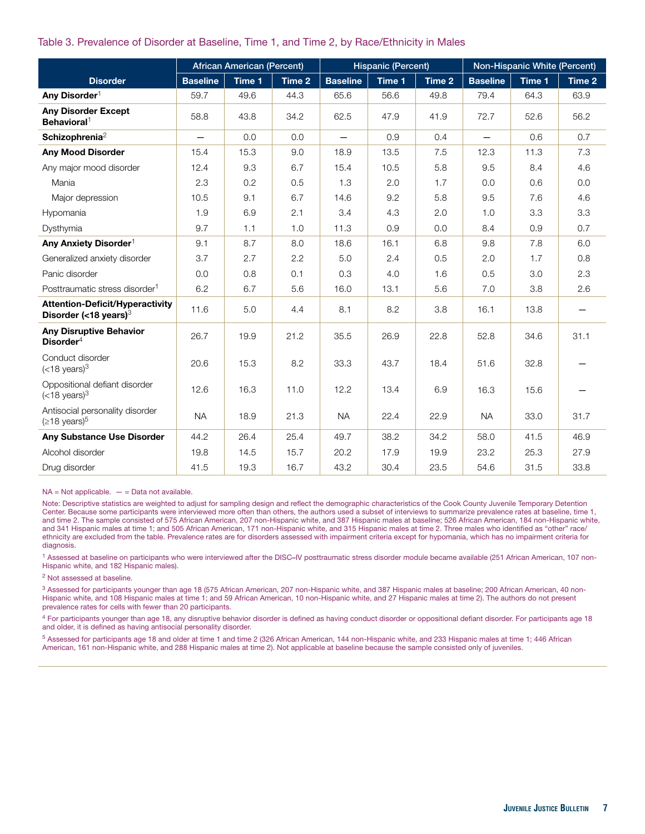#### Table 3. Prevalence of Disorder at Baseline, Time 1, and Time 2, by Race/Ethnicity in Males

|                                                                    | <b>African American (Percent)</b> |        |        | <b>Hispanic (Percent)</b> |        |        | Non-Hispanic White (Percent) |        |        |
|--------------------------------------------------------------------|-----------------------------------|--------|--------|---------------------------|--------|--------|------------------------------|--------|--------|
| <b>Disorder</b>                                                    | <b>Baseline</b>                   | Time 1 | Time 2 | <b>Baseline</b>           | Time 1 | Time 2 | <b>Baseline</b>              | Time 1 | Time 2 |
| Any Disorder <sup>1</sup>                                          | 59.7                              | 49.6   | 44.3   | 65.6                      | 56.6   | 49.8   | 79.4                         | 64.3   | 63.9   |
| <b>Any Disorder Except</b><br>Behavioral <sup>1</sup>              | 58.8                              | 43.8   | 34.2   | 62.5                      | 47.9   | 41.9   | 72.7                         | 52.6   | 56.2   |
| Schizophrenia <sup>2</sup>                                         | $\overline{\phantom{0}}$          | 0.0    | 0.0    | $\overline{\phantom{0}}$  | 0.9    | 0.4    | $\equiv$                     | 0.6    | 0.7    |
| <b>Any Mood Disorder</b>                                           | 15.4                              | 15.3   | 9.0    | 18.9                      | 13.5   | 7.5    | 12.3                         | 11.3   | 7.3    |
| Any major mood disorder                                            | 12.4                              | 9.3    | 6.7    | 15.4                      | 10.5   | 5.8    | 9.5                          | 8.4    | 4.6    |
| Mania                                                              | 2.3                               | 0.2    | 0.5    | 1.3                       | 2.0    | 1.7    | 0.0                          | 0.6    | 0.0    |
| Major depression                                                   | 10.5                              | 9.1    | 6.7    | 14.6                      | 9.2    | 5.8    | 9.5                          | 7.6    | 4.6    |
| Hypomania                                                          | 1.9                               | 6.9    | 2.1    | 3.4                       | 4.3    | 2.0    | 1.0                          | 3.3    | 3.3    |
| Dysthymia                                                          | 9.7                               | 1.1    | 1.0    | 11.3                      | 0.9    | 0.0    | 8.4                          | 0.9    | 0.7    |
| Any Anxiety Disorder <sup>1</sup>                                  | 9.1                               | 8.7    | 8.0    | 18.6                      | 16.1   | 6.8    | 9.8                          | 7.8    | 6.0    |
| Generalized anxiety disorder                                       | 3.7                               | 2.7    | 2.2    | 5.0                       | 2.4    | 0.5    | 2.0                          | 1.7    | 0.8    |
| Panic disorder                                                     | 0.0                               | 0.8    | 0.1    | 0.3                       | 4.0    | 1.6    | 0.5                          | 3.0    | 2.3    |
| Posttraumatic stress disorder <sup>1</sup>                         | 6.2                               | 6.7    | 5.6    | 16.0                      | 13.1   | 5.6    | 7.0                          | 3.8    | 2.6    |
| <b>Attention-Deficit/Hyperactivity</b><br>Disorder (<18 years) $3$ | 11.6                              | 5.0    | 4.4    | 8.1                       | 8.2    | 3.8    | 16.1                         | 13.8   | —      |
| <b>Any Disruptive Behavior</b><br>Disorder <sup>4</sup>            | 26.7                              | 19.9   | 21.2   | 35.5                      | 26.9   | 22.8   | 52.8                         | 34.6   | 31.1   |
| Conduct disorder<br>$(<$ 18 years) <sup>3</sup>                    | 20.6                              | 15.3   | 8.2    | 33.3                      | 43.7   | 18.4   | 51.6                         | 32.8   |        |
| Oppositional defiant disorder<br>$(<$ 18 years) <sup>3</sup>       | 12.6                              | 16.3   | 11.0   | 12.2                      | 13.4   | 6.9    | 16.3                         | 15.6   |        |
| Antisocial personality disorder<br>$(≥18 \text{ years})^5$         | <b>NA</b>                         | 18.9   | 21.3   | <b>NA</b>                 | 22.4   | 22.9   | <b>NA</b>                    | 33.0   | 31.7   |
| <b>Any Substance Use Disorder</b>                                  | 44.2                              | 26.4   | 25.4   | 49.7                      | 38.2   | 34.2   | 58.0                         | 41.5   | 46.9   |
| Alcohol disorder                                                   | 19.8                              | 14.5   | 15.7   | 20.2                      | 17.9   | 19.9   | 23.2                         | 25.3   | 27.9   |
| Drug disorder                                                      | 41.5                              | 19.3   | 16.7   | 43.2                      | 30.4   | 23.5   | 54.6                         | 31.5   | 33.8   |

 $NA = Not applicable. - = Data not available.$ 

Note: Descriptive statistics are weighted to adjust for sampling design and reflect the demographic characteristics of the Cook County Juvenile Temporary Detention Center. Because some participants were interviewed more often than others, the authors used a subset of interviews to summarize prevalence rates at baseline, time 1, and time 2. The sample consisted of 575 African American, 207 non-Hispanic white, and 387 Hispanic males at baseline; 526 African American, 184 non-Hispanic white, and 341 Hispanic males at time 1; and 505 African American, 171 non-Hispanic white, and 315 Hispanic males at time 2. Three males who identified as "other" race/ ethnicity are excluded from the table. Prevalence rates are for disorders assessed with impairment criteria except for hypomania, which has no impairment criteria for diagnosis.

1 Assessed at baseline on participants who were interviewed after the DISC**–**IV posttraumatic stress disorder module became available (251 African American, 107 non-Hispanic white, and 182 Hispanic males).

2 Not assessed at baseline.

<sup>3</sup> Assessed for participants younger than age 18 (575 African American, 207 non-Hispanic white, and 387 Hispanic males at baseline; 200 African American, 40 non-Hispanic white, and 108 Hispanic males at time 1; and 59 African American, 10 non-Hispanic white, and 27 Hispanic males at time 2). The authors do not present prevalence rates for cells with fewer than 20 participants.

<sup>4</sup> For participants younger than age 18, any disruptive behavior disorder is defined as having conduct disorder or oppositional defiant disorder. For participants age 18 and older, it is defined as having antisocial personality disorder.

5 Assessed for participants age 18 and older at time 1 and time 2 (326 African American, 144 non-Hispanic white, and 233 Hispanic males at time 1; 446 African American, 161 non-Hispanic white, and 288 Hispanic males at time 2). Not applicable at baseline because the sample consisted only of juveniles.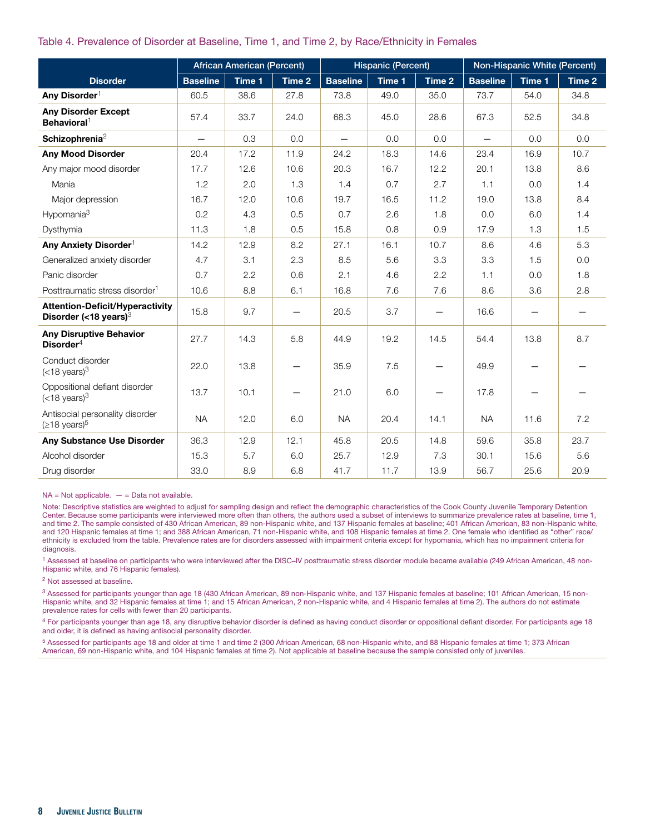#### Table 4. Prevalence of Disorder at Baseline, Time 1, and Time 2, by Race/Ethnicity in Females

|                                                                    | <b>African American (Percent)</b> |        |        | <b>Hispanic (Percent)</b> |        |                          | Non-Hispanic White (Percent) |                          |        |
|--------------------------------------------------------------------|-----------------------------------|--------|--------|---------------------------|--------|--------------------------|------------------------------|--------------------------|--------|
| <b>Disorder</b>                                                    | <b>Baseline</b>                   | Time 1 | Time 2 | <b>Baseline</b>           | Time 1 | Time 2                   | <b>Baseline</b>              | Time 1                   | Time 2 |
| Any Disorder <sup>1</sup>                                          | 60.5                              | 38.6   | 27.8   | 73.8                      | 49.0   | 35.0                     | 73.7                         | 54.0                     | 34.8   |
| <b>Any Disorder Except</b><br>Behavioral <sup>1</sup>              | 57.4                              | 33.7   | 24.0   | 68.3                      | 45.0   | 28.6                     | 67.3                         | 52.5                     | 34.8   |
| Schizophrenia <sup>2</sup>                                         | $\overline{\phantom{0}}$          | 0.3    | 0.0    | $\overline{\phantom{0}}$  | 0.0    | 0.0                      | $\overline{\phantom{0}}$     | 0.0                      | 0.0    |
| <b>Any Mood Disorder</b>                                           | 20.4                              | 17.2   | 11.9   | 24.2                      | 18.3   | 14.6                     | 23.4                         | 16.9                     | 10.7   |
| Any major mood disorder                                            | 17.7                              | 12.6   | 10.6   | 20.3                      | 16.7   | 12.2                     | 20.1                         | 13.8                     | 8.6    |
| Mania                                                              | 1.2                               | 2.0    | 1.3    | 1.4                       | 0.7    | 2.7                      | 1.1                          | 0.0                      | 1.4    |
| Major depression                                                   | 16.7                              | 12.0   | 10.6   | 19.7                      | 16.5   | 11.2                     | 19.0                         | 13.8                     | 8.4    |
| Hypomania <sup>3</sup>                                             | 0.2                               | 4.3    | 0.5    | 0.7                       | 2.6    | 1.8                      | 0.0                          | 6.0                      | 1.4    |
| Dysthymia                                                          | 11.3                              | 1.8    | 0.5    | 15.8                      | 0.8    | 0.9                      | 17.9                         | 1.3                      | 1.5    |
| Any Anxiety Disorder <sup>1</sup>                                  | 14.2                              | 12.9   | 8.2    | 27.1                      | 16.1   | 10.7                     | 8.6                          | 4.6                      | 5.3    |
| Generalized anxiety disorder                                       | 4.7                               | 3.1    | 2.3    | 8.5                       | 5.6    | 3.3                      | 3.3                          | 1.5                      | 0.0    |
| Panic disorder                                                     | 0.7                               | 2.2    | 0.6    | 2.1                       | 4.6    | 2.2                      | 1.1                          | 0.0                      | 1.8    |
| Posttraumatic stress disorder <sup>1</sup>                         | 10.6                              | 8.8    | 6.1    | 16.8                      | 7.6    | 7.6                      | 8.6                          | 3.6                      | 2.8    |
| <b>Attention-Deficit/Hyperactivity</b><br>Disorder (<18 years) $3$ | 15.8                              | 9.7    |        | 20.5                      | 3.7    | $\overline{\phantom{0}}$ | 16.6                         | $\overline{\phantom{0}}$ |        |
| <b>Any Disruptive Behavior</b><br>Disorder $4$                     | 27.7                              | 14.3   | 5.8    | 44.9                      | 19.2   | 14.5                     | 54.4                         | 13.8                     | 8.7    |
| Conduct disorder<br>$(<$ 18 years) $3$                             | 22.0                              | 13.8   |        | 35.9                      | 7.5    |                          | 49.9                         |                          |        |
| Oppositional defiant disorder<br>$(<$ 18 years) <sup>3</sup>       | 13.7                              | 10.1   |        | 21.0                      | 6.0    |                          | 17.8                         |                          |        |
| Antisocial personality disorder<br>$( \ge 18 \text{ years})^5$     | <b>NA</b>                         | 12.0   | 6.0    | <b>NA</b>                 | 20.4   | 14.1                     | <b>NA</b>                    | 11.6                     | 7.2    |
| Any Substance Use Disorder                                         | 36.3                              | 12.9   | 12.1   | 45.8                      | 20.5   | 14.8                     | 59.6                         | 35.8                     | 23.7   |
| Alcohol disorder                                                   | 15.3                              | 5.7    | 6.0    | 25.7                      | 12.9   | 7.3                      | 30.1                         | 15.6                     | 5.6    |
| Drug disorder                                                      | 33.0                              | 8.9    | 6.8    | 41.7                      | 11.7   | 13.9                     | 56.7                         | 25.6                     | 20.9   |

 $NA = Not applicable. - = Data not available.$ 

Note: Descriptive statistics are weighted to adjust for sampling design and reflect the demographic characteristics of the Cook County Juvenile Temporary Detention Center. Because some participants were interviewed more often than others, the authors used a subset of interviews to summarize prevalence rates at baseline, time 1, and time 2. The sample consisted of 430 African American, 89 non-Hispanic white, and 137 Hispanic females at baseline; 401 African American, 83 non-Hispanic white, and 120 Hispanic females at time 1; and 388 African American, 71 non-Hispanic white, and 108 Hispanic females at time 2. One female who identified as "other" race/ ethnicity is excluded from the table. Prevalence rates are for disorders assessed with impairment criteria except for hypomania, which has no impairment criteria for diagnosis.

1 Assessed at baseline on participants who were interviewed after the DISC**–**IV posttraumatic stress disorder module became available (249 African American, 48 non-Hispanic white, and 76 Hispanic females).

2 Not assessed at baseline.

<sup>3</sup> Assessed for participants younger than age 18 (430 African American, 89 non-Hispanic white, and 137 Hispanic females at baseline; 101 African American, 15 non-Hispanic white, and 32 Hispanic females at time 1; and 15 African American, 2 non-Hispanic white, and 4 Hispanic females at time 2). The authors do not estimate prevalence rates for cells with fewer than 20 participants.

4 For participants younger than age 18, any disruptive behavior disorder is defined as having conduct disorder or oppositional defiant disorder. For participants age 18 and older, it is defined as having antisocial personality disorder.

5 Assessed for participants age 18 and older at time 1 and time 2 (300 African American, 68 non-Hispanic white, and 88 Hispanic females at time 1; 373 African American, 69 non-Hispanic white, and 104 Hispanic females at time 2). Not applicable at baseline because the sample consisted only of juveniles.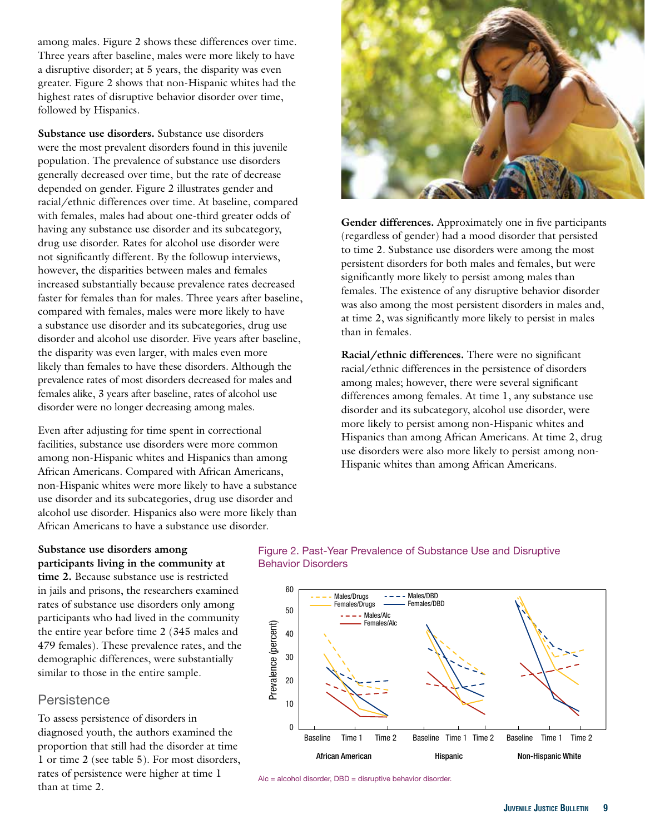among males. Figure 2 shows these differences over time. Three years after baseline, males were more likely to have a disruptive disorder; at 5 years, the disparity was even greater. Figure 2 shows that non-Hispanic whites had the highest rates of disruptive behavior disorder over time, followed by Hispanics.

**Substance use disorders.** Substance use disorders were the most prevalent disorders found in this juvenile population. The prevalence of substance use disorders generally decreased over time, but the rate of decrease depended on gender. Figure 2 illustrates gender and racial/ethnic differences over time. At baseline, compared with females, males had about one-third greater odds of having any substance use disorder and its subcategory, drug use disorder. Rates for alcohol use disorder were not significantly different. By the followup interviews, however, the disparities between males and females increased substantially because prevalence rates decreased faster for females than for males. Three years after baseline, compared with females, males were more likely to have a substance use disorder and its subcategories, drug use disorder and alcohol use disorder. Five years after baseline, the disparity was even larger, with males even more likely than females to have these disorders. Although the prevalence rates of most disorders decreased for males and females alike, 3 years after baseline, rates of alcohol use disorder were no longer decreasing among males.

Even after adjusting for time spent in correctional facilities, substance use disorders were more common among non-Hispanic whites and Hispanics than among African Americans. Compared with African Americans, non-Hispanic whites were more likely to have a substance use disorder and its subcategories, drug use disorder and alcohol use disorder. Hispanics also were more likely than African Americans to have a substance use disorder.



**Gender differences.** Approximately one in five participants (regardless of gender) had a mood disorder that persisted to time 2. Substance use disorders were among the most persistent disorders for both males and females, but were significantly more likely to persist among males than females. The existence of any disruptive behavior disorder was also among the most persistent disorders in males and, at time 2, was significantly more likely to persist in males than in females.

**Racial/ethnic differences.** There were no significant racial/ethnic differences in the persistence of disorders among males; however, there were several significant differences among females. At time 1, any substance use disorder and its subcategory, alcohol use disorder, were more likely to persist among non-Hispanic whites and Hispanics than among African Americans. At time 2, drug use disorders were also more likely to persist among non-Hispanic whites than among African Americans.

### **participants living in the community at Behavior Disorders time 2.** Because substance use is restricted in jails and prisons, the researchers examined 60 rates of substance use disorders only among 50 participants who had lived in the community

the entire year before time 2 (345 males and 479 females). These prevalence rates, and the demographic differences, were substantially similar to those in the entire sample.

### **Persistence**

To assess persistence of disorders in diagnosed youth, the authors examined the <sup>0</sup> proportion that still had the disorder at time rates of persistence were higher at time  $1$  Alc = alcohol disorder, DBD = disruptive behavior disorder. than at time 2.

**Substance use disorders among** Figure 2. Past-Year Prevalence of Substance Use and Disruptive



![](_page_8_Figure_12.jpeg)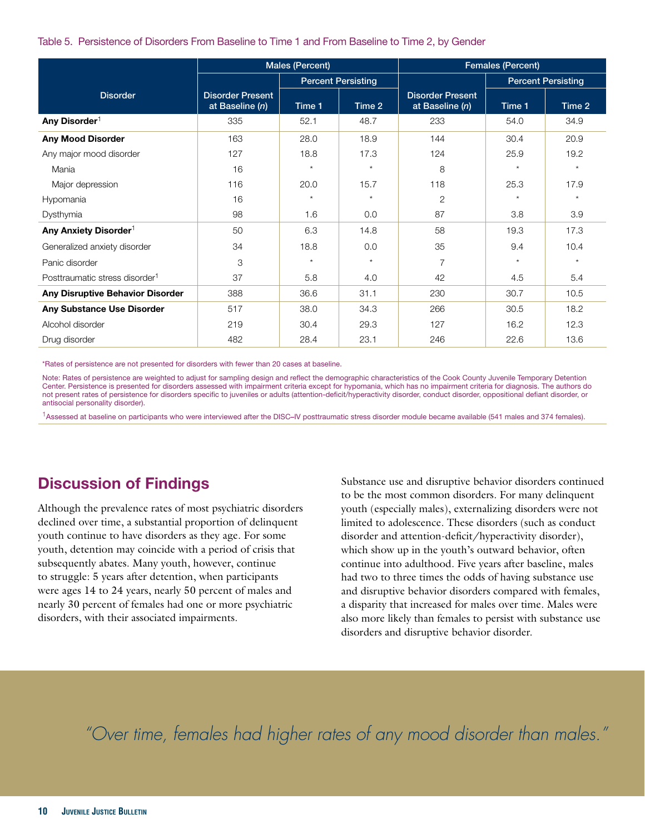#### Table 5. Persistence of Disorders From Baseline to Time 1 and From Baseline to Time 2, by Gender

|                                            |                                            | Males (Percent)           |         | Females (Percent)                          |                           |         |  |
|--------------------------------------------|--------------------------------------------|---------------------------|---------|--------------------------------------------|---------------------------|---------|--|
|                                            |                                            | <b>Percent Persisting</b> |         |                                            | <b>Percent Persisting</b> |         |  |
| <b>Disorder</b>                            | <b>Disorder Present</b><br>at Baseline (n) | Time 1                    | Time 2  | <b>Disorder Present</b><br>at Baseline (n) | Time 1                    | Time 2  |  |
| Any Disorder <sup>1</sup>                  | 335                                        | 52.1                      | 48.7    | 233                                        | 54.0                      | 34.9    |  |
| <b>Any Mood Disorder</b>                   | 163                                        | 28.0                      | 18.9    | 144                                        | 30.4                      | 20.9    |  |
| Any major mood disorder                    | 127                                        | 18.8                      | 17.3    | 124                                        | 25.9                      | 19.2    |  |
| Mania                                      | 16                                         | $\star$                   | $\star$ | 8                                          | $\star$                   | $\star$ |  |
| Major depression                           | 116                                        | 20.0                      | 15.7    | 118                                        | 25.3                      | 17.9    |  |
| Hypomania                                  | 16                                         | $\star$                   | $\star$ | $\overline{2}$                             | $\star$                   | $\star$ |  |
| Dysthymia                                  | 98                                         | 1.6                       | 0.0     | 87                                         | 3.8                       | 3.9     |  |
| Any Anxiety Disorder <sup>1</sup>          | 50                                         | 6.3                       | 14.8    | 58                                         | 19.3                      | 17.3    |  |
| Generalized anxiety disorder               | 34                                         | 18.8                      | 0.0     | 35                                         | 9.4                       | 10.4    |  |
| Panic disorder                             | 3                                          | $\star$                   | $\star$ | 7                                          | $\star$                   | $\star$ |  |
| Posttraumatic stress disorder <sup>1</sup> | 37                                         | 5.8                       | 4.0     | 42                                         | 4.5                       | 5.4     |  |
| Any Disruptive Behavior Disorder           | 388                                        | 36.6                      | 31.1    | 230                                        | 30.7                      | 10.5    |  |
| Any Substance Use Disorder                 | 517                                        | 38.0                      | 34.3    | 266                                        | 30.5                      | 18.2    |  |
| Alcohol disorder                           | 219                                        | 30.4                      | 29.3    | 127                                        | 16.2                      | 12.3    |  |
| Drug disorder                              | 482                                        | 28.4                      | 23.1    | 246                                        | 22.6                      | 13.6    |  |

\*Rates of persistence are not presented for disorders with fewer than 20 cases at baseline.

Note: Rates of persistence are weighted to adjust for sampling design and reflect the demographic characteristics of the Cook County Juvenile Temporary Detention Center. Persistence is presented for disorders assessed with impairment criteria except for hypomania, which has no impairment criteria for diagnosis. The authors do not present rates of persistence for disorders specific to juveniles or adults (attention-deficit/hyperactivity disorder, conduct disorder, oppositional defiant disorder, or antisocial personality disorder).

<sup>1</sup>Assessed at baseline on participants who were interviewed after the DISC**–**IV posttraumatic stress disorder module became available (541 males and 374 females).

### Discussion of Findings

Although the prevalence rates of most psychiatric disorders declined over time, a substantial proportion of delinquent youth continue to have disorders as they age. For some youth, detention may coincide with a period of crisis that subsequently abates. Many youth, however, continue to struggle: 5 years after detention, when participants were ages 14 to 24 years, nearly 50 percent of males and nearly 30 percent of females had one or more psychiatric disorders, with their associated impairments.

Substance use and disruptive behavior disorders continued to be the most common disorders. For many delinquent youth (especially males), externalizing disorders were not limited to adolescence. These disorders (such as conduct disorder and attention-deficit/hyperactivity disorder), which show up in the youth's outward behavior, often continue into adulthood. Five years after baseline, males had two to three times the odds of having substance use and disruptive behavior disorders compared with females, a disparity that increased for males over time. Males were also more likely than females to persist with substance use disorders and disruptive behavior disorder.

*"Over time, females had higher rates of any mood disorder than males."*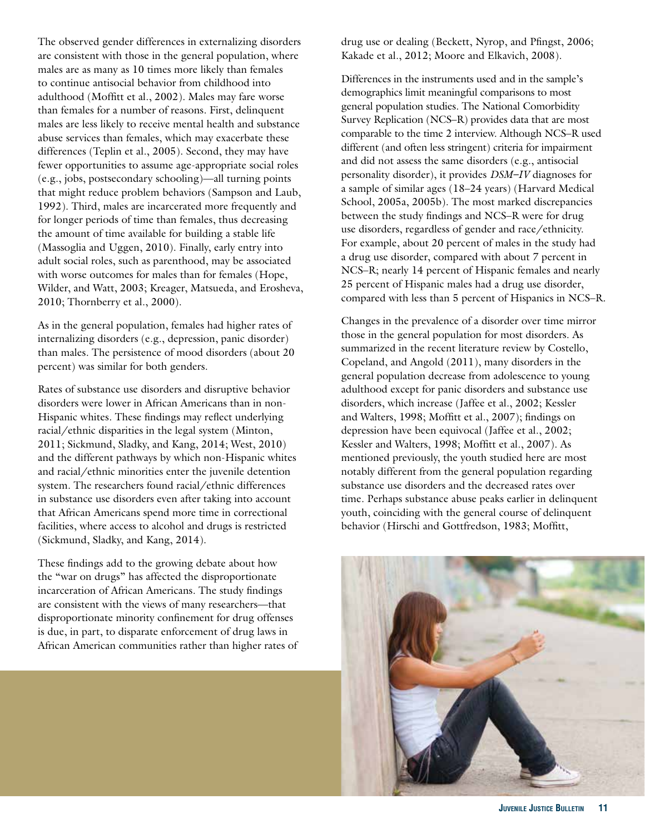The observed gender differences in externalizing disorders are consistent with those in the general population, where males are as many as 10 times more likely than females to continue antisocial behavior from childhood into adulthood (Moffitt et al., 2002). Males may fare worse than females for a number of reasons. First, delinquent males are less likely to receive mental health and substance abuse services than females, which may exacerbate these differences (Teplin et al., 2005). Second, they may have fewer opportunities to assume age-appropriate social roles (e.g., jobs, postsecondary schooling)—all turning points that might reduce problem behaviors (Sampson and Laub, 1992). Third, males are incarcerated more frequently and for longer periods of time than females, thus decreasing the amount of time available for building a stable life (Massoglia and Uggen, 2010). Finally, early entry into adult social roles, such as parenthood, may be associated with worse outcomes for males than for females (Hope, Wilder, and Watt, 2003; Kreager, Matsueda, and Erosheva, 2010; Thornberry et al., 2000).

As in the general population, females had higher rates of internalizing disorders (e.g., depression, panic disorder) than males. The persistence of mood disorders (about 20 percent) was similar for both genders.

Rates of substance use disorders and disruptive behavior disorders were lower in African Americans than in non-Hispanic whites. These findings may reflect underlying racial/ethnic disparities in the legal system (Minton, 2011; Sickmund, Sladky, and Kang, 2014; West, 2010) and the different pathways by which non-Hispanic whites and racial/ethnic minorities enter the juvenile detention system. The researchers found racial/ethnic differences in substance use disorders even after taking into account that African Americans spend more time in correctional facilities, where access to alcohol and drugs is restricted (Sickmund, Sladky, and Kang, 2014).

These findings add to the growing debate about how the "war on drugs" has affected the disproportionate incarceration of African Americans. The study findings are consistent with the views of many researchers—that disproportionate minority confinement for drug offenses is due, in part, to disparate enforcement of drug laws in African American communities rather than higher rates of drug use or dealing (Beckett, Nyrop, and Pfingst, 2006; Kakade et al., 2012; Moore and Elkavich, 2008).

Differences in the instruments used and in the sample's demographics limit meaningful comparisons to most general population studies. The National Comorbidity Survey Replication (NCS–R) provides data that are most comparable to the time 2 interview. Although NCS–R used different (and often less stringent) criteria for impairment and did not assess the same disorders (e.g., antisocial personality disorder), it provides *DSM–IV* diagnoses for a sample of similar ages (18–24 years) (Harvard Medical School, 2005a, 2005b). The most marked discrepancies between the study findings and NCS–R were for drug use disorders, regardless of gender and race/ethnicity. For example, about 20 percent of males in the study had a drug use disorder, compared with about 7 percent in NCS–R; nearly 14 percent of Hispanic females and nearly 25 percent of Hispanic males had a drug use disorder, compared with less than 5 percent of Hispanics in NCS–R.

Changes in the prevalence of a disorder over time mirror those in the general population for most disorders. As summarized in the recent literature review by Costello, Copeland, and Angold (2011), many disorders in the general population decrease from adolescence to young adulthood except for panic disorders and substance use disorders, which increase (Jaffee et al., 2002; Kessler and Walters, 1998; Moffitt et al., 2007); findings on depression have been equivocal (Jaffee et al., 2002; Kessler and Walters, 1998; Moffitt et al., 2007). As mentioned previously, the youth studied here are most notably different from the general population regarding substance use disorders and the decreased rates over time. Perhaps substance abuse peaks earlier in delinquent youth, coinciding with the general course of delinquent behavior (Hirschi and Gottfredson, 1983; Moffitt,

![](_page_10_Picture_7.jpeg)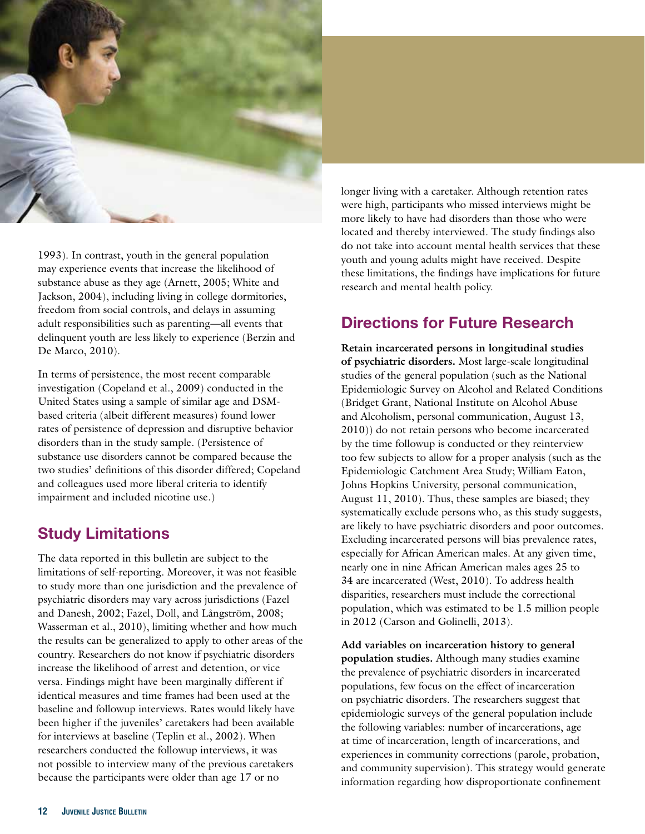![](_page_11_Picture_0.jpeg)

1993). In contrast, youth in the general population may experience events that increase the likelihood of substance abuse as they age (Arnett, 2005; White and Jackson, 2004), including living in college dormitories, freedom from social controls, and delays in assuming adult responsibilities such as parenting—all events that delinquent youth are less likely to experience (Berzin and De Marco, 2010).

In terms of persistence, the most recent comparable investigation (Copeland et al., 2009) conducted in the United States using a sample of similar age and DSMbased criteria (albeit different measures) found lower rates of persistence of depression and disruptive behavior disorders than in the study sample. (Persistence of substance use disorders cannot be compared because the two studies' definitions of this disorder differed; Copeland and colleagues used more liberal criteria to identify impairment and included nicotine use.)

### Study Limitations

The data reported in this bulletin are subject to the limitations of self-reporting. Moreover, it was not feasible to study more than one jurisdiction and the prevalence of psychiatric disorders may vary across jurisdictions (Fazel and Danesh, 2002; Fazel, Doll, and Långström, 2008; Wasserman et al., 2010), limiting whether and how much the results can be generalized to apply to other areas of the country. Researchers do not know if psychiatric disorders increase the likelihood of arrest and detention, or vice versa. Findings might have been marginally different if identical measures and time frames had been used at the baseline and followup interviews. Rates would likely have been higher if the juveniles' caretakers had been available for interviews at baseline (Teplin et al., 2002). When researchers conducted the followup interviews, it was not possible to interview many of the previous caretakers because the participants were older than age 17 or no

longer living with a caretaker. Although retention rates were high, participants who missed interviews might be more likely to have had disorders than those who were located and thereby interviewed. The study findings also do not take into account mental health services that these youth and young adults might have received. Despite these limitations, the findings have implications for future research and mental health policy.

### Directions for Future Research

**Retain incarcerated persons in longitudinal studies of psychiatric disorders.** Most large-scale longitudinal studies of the general population (such as the National Epidemiologic Survey on Alcohol and Related Conditions (Bridget Grant, National Institute on Alcohol Abuse and Alcoholism, personal communication, August 13, 2010)) do not retain persons who become incarcerated by the time followup is conducted or they reinterview too few subjects to allow for a proper analysis (such as the Epidemiologic Catchment Area Study; William Eaton, Johns Hopkins University, personal communication, August 11, 2010). Thus, these samples are biased; they systematically exclude persons who, as this study suggests, are likely to have psychiatric disorders and poor outcomes. Excluding incarcerated persons will bias prevalence rates, especially for African American males. At any given time, nearly one in nine African American males ages 25 to 34 are incarcerated (West, 2010). To address health disparities, researchers must include the correctional population, which was estimated to be 1.5 million people in 2012 (Carson and Golinelli, 2013).

**Add variables on incarceration history to general population studies.** Although many studies examine the prevalence of psychiatric disorders in incarcerated populations, few focus on the effect of incarceration on psychiatric disorders. The researchers suggest that epidemiologic surveys of the general population include the following variables: number of incarcerations, age at time of incarceration, length of incarcerations, and experiences in community corrections (parole, probation, and community supervision). This strategy would generate information regarding how disproportionate confinement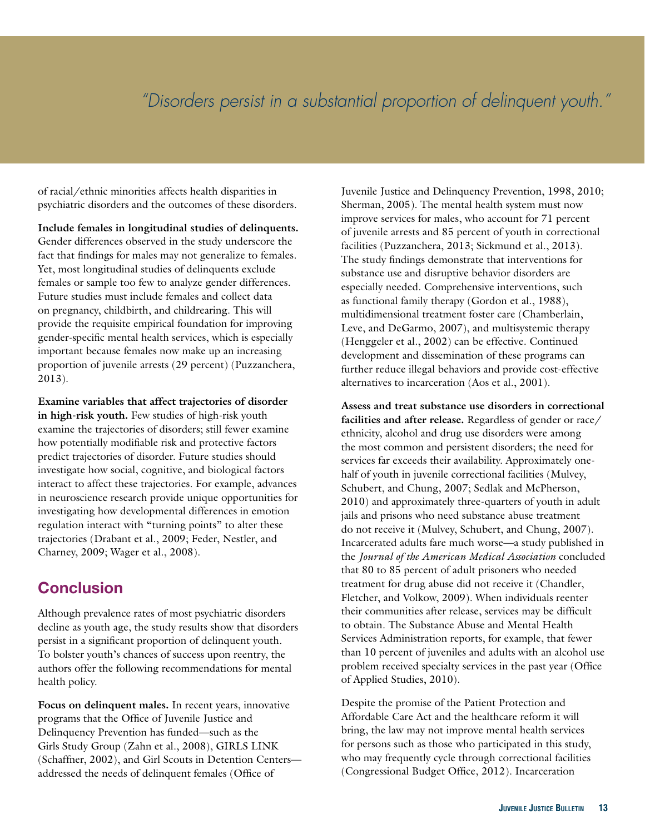# *"Disorders persist in a substantial proportion of delinquent youth."*

of racial/ethnic minorities affects health disparities in psychiatric disorders and the outcomes of these disorders.

**Include females in longitudinal studies of delinquents.**  Gender differences observed in the study underscore the fact that findings for males may not generalize to females. Yet, most longitudinal studies of delinquents exclude females or sample too few to analyze gender differences. Future studies must include females and collect data on pregnancy, childbirth, and childrearing. This will provide the requisite empirical foundation for improving gender-specific mental health services, which is especially important because females now make up an increasing proportion of juvenile arrests (29 percent) (Puzzanchera, 2013).

**Examine variables that affect trajectories of disorder in high-risk youth.** Few studies of high-risk youth examine the trajectories of disorders; still fewer examine how potentially modifiable risk and protective factors predict trajectories of disorder. Future studies should investigate how social, cognitive, and biological factors interact to affect these trajectories. For example, advances in neuroscience research provide unique opportunities for investigating how developmental differences in emotion regulation interact with "turning points" to alter these trajectories (Drabant et al., 2009; Feder, Nestler, and Charney, 2009; Wager et al., 2008).

### **Conclusion**

Although prevalence rates of most psychiatric disorders decline as youth age, the study results show that disorders persist in a significant proportion of delinquent youth. To bolster youth's chances of success upon reentry, the authors offer the following recommendations for mental health policy.

**Focus on delinquent males.** In recent years, innovative programs that the Office of Juvenile Justice and Delinquency Prevention has funded—such as the Girls Study Group (Zahn et al., 2008), GIRLS LINK (Schaffner, 2002), and Girl Scouts in Detention Centers addressed the needs of delinquent females (Office of

Juvenile Justice and Delinquency Prevention, 1998, 2010; Sherman, 2005). The mental health system must now improve services for males, who account for 71 percent of juvenile arrests and 85 percent of youth in correctional facilities (Puzzanchera, 2013; Sickmund et al., 2013). The study findings demonstrate that interventions for substance use and disruptive behavior disorders are especially needed. Comprehensive interventions, such as functional family therapy (Gordon et al., 1988), multidimensional treatment foster care (Chamberlain, Leve, and DeGarmo, 2007), and multisystemic therapy (Henggeler et al., 2002) can be effective. Continued development and dissemination of these programs can further reduce illegal behaviors and provide cost-effective alternatives to incarceration (Aos et al., 2001).

of Applied Studies, 2010). **Assess and treat substance use disorders in correctional facilities and after release.** Regardless of gender or race/ ethnicity, alcohol and drug use disorders were among the most common and persistent disorders; the need for services far exceeds their availability. Approximately onehalf of youth in juvenile correctional facilities (Mulvey, Schubert, and Chung, 2007; Sedlak and McPherson, 2010) and approximately three-quarters of youth in adult jails and prisons who need substance abuse treatment do not receive it (Mulvey, Schubert, and Chung, 2007). Incarcerated adults fare much worse—a study published in the *Journal of the American Medical Association* concluded that 80 to 85 percent of adult prisoners who needed treatment for drug abuse did not receive it (Chandler, Fletcher, and Volkow, 2009). When individuals reenter their communities after release, services may be difficult to obtain. The Substance Abuse and Mental Health Services Administration reports, for example, that fewer than 10 percent of juveniles and adults with an alcohol use problem received specialty services in the past year (Office

Despite the promise of the Patient Protection and Affordable Care Act and the healthcare reform it will bring, the law may not improve mental health services for persons such as those who participated in this study, who may frequently cycle through correctional facilities (Congressional Budget Office, 2012). Incarceration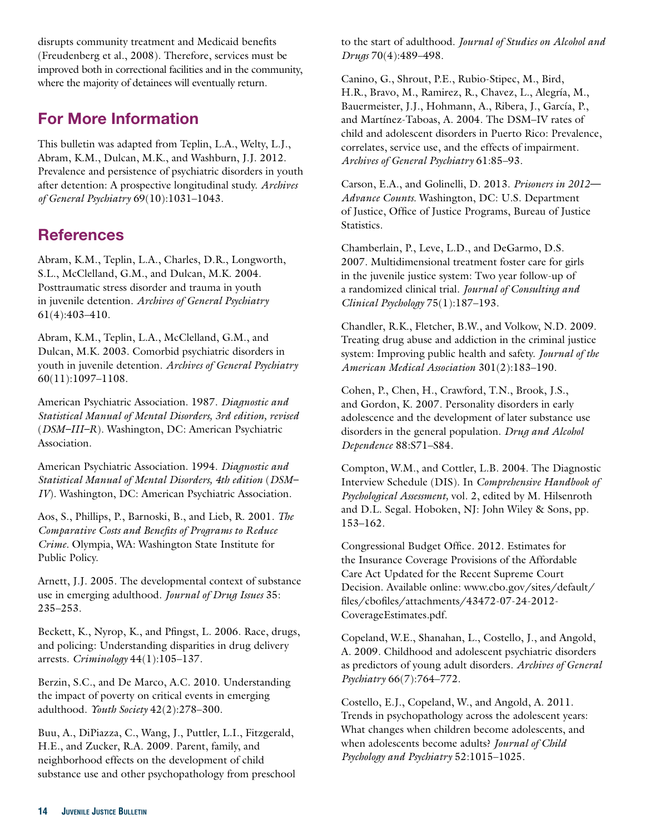disrupts community treatment and Medicaid benefits (Freudenberg et al., 2008). Therefore, services must be improved both in correctional facilities and in the community, where the majority of detainees will eventually return.

### For More Information

This bulletin was adapted from Teplin, L.A., Welty, L.J., Abram, K.M., Dulcan, M.K., and Washburn, J.J. 2012. Prevalence and persistence of psychiatric disorders in youth after detention: A prospective longitudinal study. *Archives of General Psychiatry* 69(10):1031–1043.

### **References**

Abram, K.M., Teplin, L.A., Charles, D.R., Longworth, S.L., McClelland, G.M., and Dulcan, M.K. 2004. Posttraumatic stress disorder and trauma in youth in juvenile detention. *Archives of General Psychiatry*  61(4):403–410.

Abram, K.M., Teplin, L.A., McClelland, G.M., and Dulcan, M.K. 2003. Comorbid psychiatric disorders in youth in juvenile detention. *Archives of General Psychiatry*  60(11):1097–1108.

American Psychiatric Association. 1987. *Diagnostic and Statistical Manual of Mental Disorders, 3rd edition, revised*  (*DSM–III–R*). Washington, DC: American Psychiatric Association.

American Psychiatric Association. 1994. *Diagnostic and Statistical Manual of Mental Disorders, 4th edition* (*DSM– IV*). Washington, DC: American Psychiatric Association.

Aos, S., Phillips, P., Barnoski, B., and Lieb, R. 2001. *The Comparative Costs and Benefits of Programs to Reduce Crime.* Olympia, WA: Washington State Institute for Public Policy.

Arnett, J.J. 2005. The developmental context of substance use in emerging adulthood. *Journal of Drug Issues* 35: 235–253.

Beckett, K., Nyrop, K., and Pfingst, L. 2006. Race, drugs, and policing: Understanding disparities in drug delivery arrests. *Criminology* 44(1):105–137.

Berzin, S.C., and De Marco, A.C. 2010. Understanding the impact of poverty on critical events in emerging adulthood. *Youth Society* 42(2):278–300.

Buu, A., DiPiazza, C., Wang, J., Puttler, L.I., Fitzgerald, H.E., and Zucker, R.A. 2009. Parent, family, and neighborhood effects on the development of child substance use and other psychopathology from preschool to the start of adulthood. *Journal of Studies on Alcohol and Drugs* 70(4):489–498.

Canino, G., Shrout, P.E., Rubio-Stipec, M., Bird, H.R., Bravo, M., Ramirez, R., Chavez, L., Alegría, M., Bauermeister, J.J., Hohmann, A., Ribera, J., García, P., and Martínez-Taboas, A. 2004. The DSM–IV rates of child and adolescent disorders in Puerto Rico: Prevalence, correlates, service use, and the effects of impairment. *Archives of General Psychiatry* 61:85–93.

Carson, E.A., and Golinelli, D. 2013. *Prisoners in 2012— Advance Counts.* Washington, DC: U.S. Department of Justice, Office of Justice Programs, Bureau of Justice Statistics.

Chamberlain, P., Leve, L.D., and DeGarmo, D.S. 2007. Multidimensional treatment foster care for girls in the juvenile justice system: Two year follow-up of a randomized clinical trial. *Journal of Consulting and Clinical Psychology* 75(1):187–193.

Chandler, R.K., Fletcher, B.W., and Volkow, N.D. 2009. Treating drug abuse and addiction in the criminal justice system: Improving public health and safety. *Journal of the American Medical Association* 301(2):183–190.

Cohen, P., Chen, H., Crawford, T.N., Brook, J.S., and Gordon, K. 2007. Personality disorders in early adolescence and the development of later substance use disorders in the general population. *Drug and Alcohol Dependence* 88:S71–S84.

Compton, W.M., and Cottler, L.B. 2004. The Diagnostic Interview Schedule (DIS). In *Comprehensive Handbook of Psychological Assessment,* vol. 2, edited by M. Hilsenroth and D.L. Segal. Hoboken, NJ: John Wiley & Sons, pp. 153–162.

Congressional Budget Office. 2012. Estimates for the Insurance Coverage Provisions of the Affordable Care Act Updated for the Recent Supreme Court Decision. Available online: [www.cbo.gov/sites/default/](www.cbo.gov/sites/default/files/cbofiles/attachments/43472-07-24-2012-CoverageEstimates.pdf) [files/cbofiles/attachments/43472-07-24-2012](www.cbo.gov/sites/default/files/cbofiles/attachments/43472-07-24-2012-CoverageEstimates.pdf) [CoverageEstimates.pdf](www.cbo.gov/sites/default/files/cbofiles/attachments/43472-07-24-2012-CoverageEstimates.pdf).

Copeland, W.E., Shanahan, L., Costello, J., and Angold, A. 2009. Childhood and adolescent psychiatric disorders as predictors of young adult disorders. *Archives of General Psychiatry* 66(7):764–772.

Costello, E.J., Copeland, W., and Angold, A. 2011. Trends in psychopathology across the adolescent years: What changes when children become adolescents, and when adolescents become adults? *Journal of Child Psychology and Psychiatry* 52:1015–1025.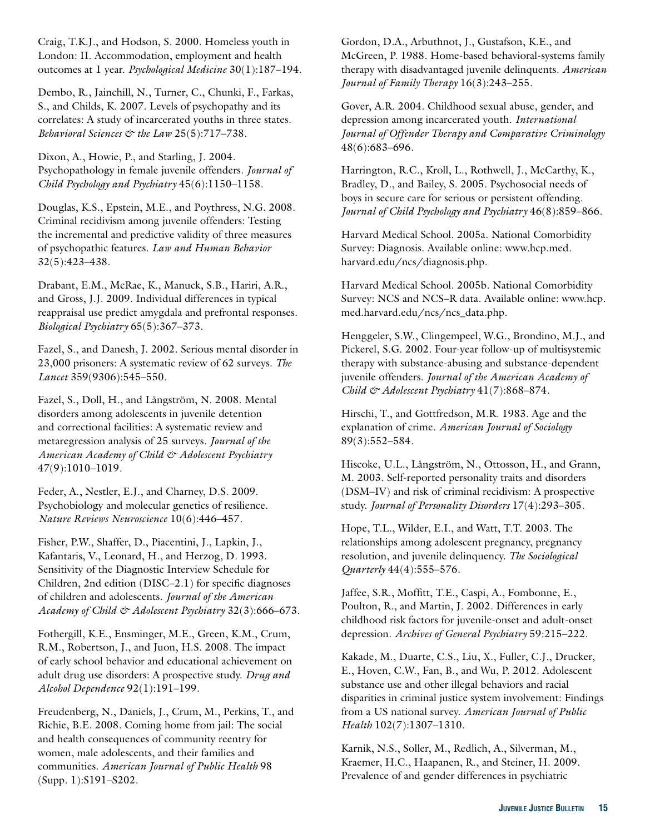Craig, T.K.J., and Hodson, S. 2000. Homeless youth in London: II. Accommodation, employment and health outcomes at 1 year. *Psychological Medicine* 30(1):187–194.

Dembo, R., Jainchill, N., Turner, C., Chunki, F., Farkas, S., and Childs, K. 2007. Levels of psychopathy and its correlates: A study of incarcerated youths in three states. *Behavioral Sciences & the Law* 25(5):717–738.

Dixon, A., Howie, P., and Starling, J. 2004. Psychopathology in female juvenile offenders. *Journal of Child Psychology and Psychiatry* 45(6):1150–1158.

Douglas, K.S., Epstein, M.E., and Poythress, N.G. 2008. Criminal recidivism among juvenile offenders: Testing the incremental and predictive validity of three measures of psychopathic features. *Law and Human Behavior*  32(5):423–438.

Drabant, E.M., McRae, K., Manuck, S.B., Hariri, A.R., and Gross, J.J. 2009. Individual differences in typical reappraisal use predict amygdala and prefrontal responses. *Biological Psychiatry* 65(5):367–373.

Fazel, S., and Danesh, J. 2002. Serious mental disorder in 23,000 prisoners: A systematic review of 62 surveys. *The Lancet* 359(9306):545–550.

Fazel, S., Doll, H., and Långström, N. 2008. Mental disorders among adolescents in juvenile detention and correctional facilities: A systematic review and metaregression analysis of 25 surveys. *Journal of the American Academy of Child & Adolescent Psychiatry*  47(9):1010–1019.

Feder, A., Nestler, E.J., and Charney, D.S. 2009. Psychobiology and molecular genetics of resilience. *Nature Reviews Neuroscience* 10(6):446–457.

Fisher, P.W., Shaffer, D., Piacentini, J., Lapkin, J., Kafantaris, V., Leonard, H., and Herzog, D. 1993. Sensitivity of the Diagnostic Interview Schedule for Children, 2nd edition (DISC–2.1) for specific diagnoses of children and adolescents. *Journal of the American Academy of Child & Adolescent Psychiatry* 32(3):666–673.

Fothergill, K.E., Ensminger, M.E., Green, K.M., Crum, R.M., Robertson, J., and Juon, H.S. 2008. The impact of early school behavior and educational achievement on adult drug use disorders: A prospective study. *Drug and Alcohol Dependence* 92(1):191–199.

Freudenberg, N., Daniels, J., Crum, M., Perkins, T., and Richie, B.E. 2008. Coming home from jail: The social and health consequences of community reentry for women, male adolescents, and their families and communities. *American Journal of Public Health* 98 (Supp. 1):S191–S202.

Gordon, D.A., Arbuthnot, J., Gustafson, K.E., and McGreen, P. 1988. Home-based behavioral-systems family therapy with disadvantaged juvenile delinquents. *American Journal of Family Therapy* 16(3):243–255.

Gover, A.R. 2004. Childhood sexual abuse, gender, and depression among incarcerated youth. *International Journal of Offender Therapy and Comparative Criminology*  48(6):683–696.

Harrington, R.C., Kroll, L., Rothwell, J., McCarthy, K., Bradley, D., and Bailey, S. 2005. Psychosocial needs of boys in secure care for serious or persistent offending. *Journal of Child Psychology and Psychiatry* 46(8):859–866.

Harvard Medical School. 2005a. National Comorbidity Survey: Diagnosis. Available online: [www.hcp.med.](www.hcp.med.harvard.edu/ncs/diagnosis.php)  [harvard.edu/ncs/diagnosis.php](www.hcp.med.harvard.edu/ncs/diagnosis.php).

med.harvard.edu/ncs/ncs\_data.php. Harvard Medical School. 2005b. National Comorbidity Survey: NCS and NCS–R data. Available online: [www.hcp.](www.hcp.med.harvard.edu/ncs/ncs_data.php)

Henggeler, S.W., Clingempeel, W.G., Brondino, M.J., and Pickerel, S.G. 2002. Four-year follow-up of multisystemic therapy with substance-abusing and substance-dependent juvenile offenders. *Journal of the American Academy of Child & Adolescent Psychiatry* 41(7):868–874.

Hirschi, T., and Gottfredson, M.R. 1983. Age and the explanation of crime. *American Journal of Sociology*  89(3):552–584.

Hiscoke, U.L., Långström, N., Ottosson, H., and Grann, M. 2003. Self-reported personality traits and disorders (DSM–IV) and risk of criminal recidivism: A prospective study. *Journal of Personality Disorders* 17(4):293–305.

Quarterly 44(4):555-576. Hope, T.L., Wilder, E.I., and Watt, T.T. 2003. The relationships among adolescent pregnancy, pregnancy resolution, and juvenile delinquency. *The Sociological* 

Jaffee, S.R., Moffitt, T.E., Caspi, A., Fombonne, E., Poulton, R., and Martin, J. 2002. Differences in early childhood risk factors for juvenile-onset and adult-onset depression. *Archives of General Psychiatry* 59:215–222.

Kakade, M., Duarte, C.S., Liu, X., Fuller, C.J., Drucker, E., Hoven, C.W., Fan, B., and Wu, P. 2012. Adolescent substance use and other illegal behaviors and racial disparities in criminal justice system involvement: Findings from a US national survey. *American Journal of Public Health* 102(7):1307–1310.

Karnik, N.S., Soller, M., Redlich, A., Silverman, M., Kraemer, H.C., Haapanen, R., and Steiner, H. 2009. Prevalence of and gender differences in psychiatric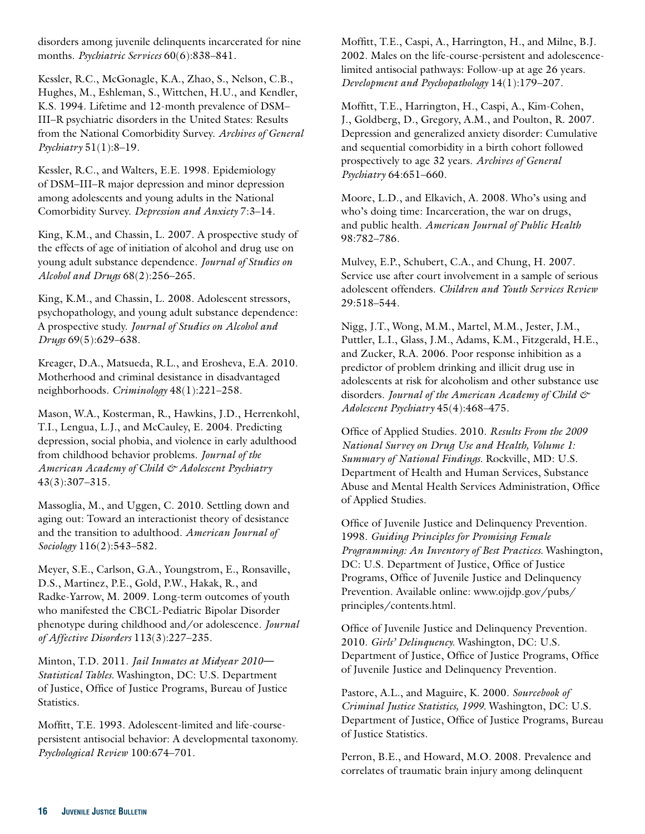disorders among juvenile delinquents incarcerated for nine months. *Psychiatric Services* 60(6):838–841.

Kessler, R.C., McGonagle, K.A., Zhao, S., Nelson, C.B., Hughes, M., Eshleman, S., Wittchen, H.U., and Kendler, K.S. 1994. Lifetime and 12-month prevalence of DSM– III–R psychiatric disorders in the United States: Results from the National Comorbidity Survey. *Archives of General Psychiatry* 51(1):8–19.

Kessler, R.C., and Walters, E.E. 1998. Epidemiology of DSM–III–R major depression and minor depression among adolescents and young adults in the National Comorbidity Survey. *Depression and Anxiety* 7:3–14.

King, K.M., and Chassin, L. 2007. A prospective study of the effects of age of initiation of alcohol and drug use on young adult substance dependence. *Journal of Studies on Alcohol and Drugs* 68(2):256–265.

King, K.M., and Chassin, L. 2008. Adolescent stressors, psychopathology, and young adult substance dependence: A prospective study. *Journal of Studies on Alcohol and Drugs* 69(5):629–638.

Kreager, D.A., Matsueda, R.L., and Erosheva, E.A. 2010. Motherhood and criminal desistance in disadvantaged neighborhoods. *Criminology* 48(1):221–258.

Mason, W.A., Kosterman, R., Hawkins, J.D., Herrenkohl, T.I., Lengua, L.J., and McCauley, E. 2004. Predicting depression, social phobia, and violence in early adulthood from childhood behavior problems. *Journal of the American Academy of Child & Adolescent Psychiatry*  43(3):307–315.

Massoglia, M., and Uggen, C. 2010. Settling down and aging out: Toward an interactionist theory of desistance and the transition to adulthood. *American Journal of Sociology* 116(2):543–582.

Meyer, S.E., Carlson, G.A., Youngstrom, E., Ronsaville, D.S., Martinez, P.E., Gold, P.W., Hakak, R., and Radke-Yarrow, M. 2009. Long-term outcomes of youth who manifested the CBCL-Pediatric Bipolar Disorder phenotype during childhood and/or adolescence. *Journal of Affective Disorders* 113(3):227–235.

Minton, T.D. 2011. *Jail Inmates at Midyear 2010— Statistical Tables.* Washington, DC: U.S. Department of Justice, Office of Justice Programs, Bureau of Justice Statistics.

Moffitt, T.E. 1993. Adolescent-limited and life-coursepersistent antisocial behavior: A developmental taxonomy. *Psychological Review* 100:674–701.

Moffitt, T.E., Caspi, A., Harrington, H., and Milne, B.J. 2002. Males on the life-course-persistent and adolescencelimited antisocial pathways: Follow-up at age 26 years. *Development and Psychopathology* 14(1):179–207.

Moffitt, T.E., Harrington, H., Caspi, A., Kim-Cohen, J., Goldberg, D., Gregory, A.M., and Poulton, R. 2007. Depression and generalized anxiety disorder: Cumulative and sequential comorbidity in a birth cohort followed prospectively to age 32 years. *Archives of General Psychiatry* 64:651–660.

Moore, L.D., and Elkavich, A. 2008. Who's using and who's doing time: Incarceration, the war on drugs, and public health. *American Journal of Public Health*  98:782–786.

Mulvey, E.P., Schubert, C.A., and Chung, H. 2007. Service use after court involvement in a sample of serious adolescent offenders. *Children and Youth Services Review*  29:518–544.

Nigg, J.T., Wong, M.M., Martel, M.M., Jester, J.M., Puttler, L.I., Glass, J.M., Adams, K.M., Fitzgerald, H.E., and Zucker, R.A. 2006. Poor response inhibition as a predictor of problem drinking and illicit drug use in adolescents at risk for alcoholism and other substance use disorders. *Journal of the American Academy of Child & Adolescent Psychiatry* 45(4):468–475.

Office of Applied Studies. 2010. *Results From the 2009 National Survey on Drug Use and Health, Volume 1: Summary of National Findings.* Rockville, MD: U.S. Department of Health and Human Services, Substance Abuse and Mental Health Services Administration, Office of Applied Studies.

Office of Juvenile Justice and Delinquency Prevention. 1998. *Guiding Principles for Promising Female Programming: An Inventory of Best Practices.* Washington, DC: U.S. Department of Justice, Office of Justice Programs, Office of Juvenile Justice and Delinquency Prevention. Available online: [www.ojjdp.gov/pubs/](www.ojjdp.gov/pubs/principles/contents.html)  [principles/contents.html](www.ojjdp.gov/pubs/principles/contents.html).

Office of Juvenile Justice and Delinquency Prevention. 2010. *Girls' Delinquency.* Washington, DC: U.S. Department of Justice, Office of Justice Programs, Office of Juvenile Justice and Delinquency Prevention.

Pastore, A.L., and Maguire, K. 2000. *Sourcebook of Criminal Justice Statistics, 1999.* Washington, DC: U.S. Department of Justice, Office of Justice Programs, Bureau of Justice Statistics.

Perron, B.E., and Howard, M.O. 2008. Prevalence and correlates of traumatic brain injury among delinquent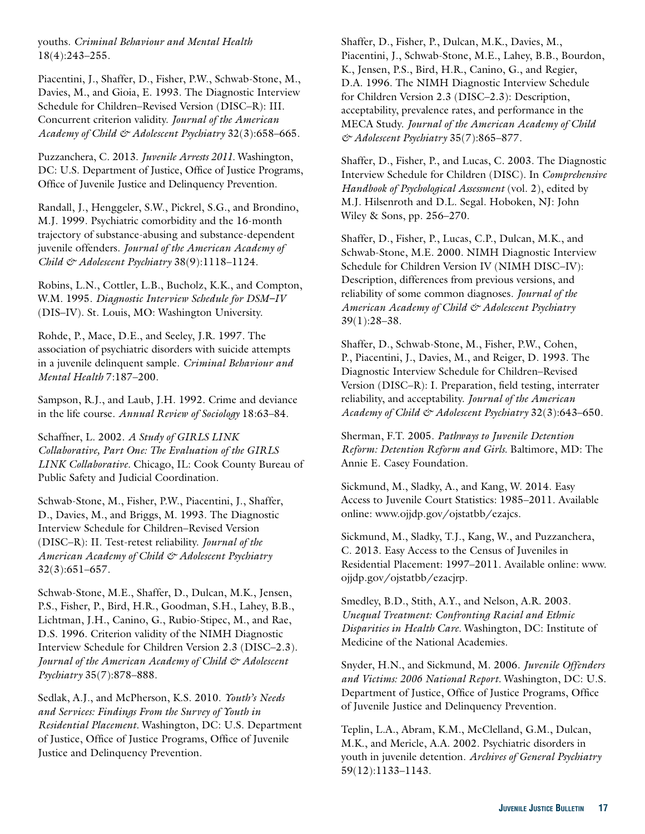youths. *Criminal Behaviour and Mental Health*  18(4):243–255.

Piacentini, J., Shaffer, D., Fisher, P.W., Schwab-Stone, M., Davies, M., and Gioia, E. 1993. The Diagnostic Interview Schedule for Children–Revised Version (DISC–R): III. Concurrent criterion validity. *Journal of the American Academy of Child & Adolescent Psychiatry* 32(3):658–665.

Puzzanchera, C. 2013. *Juvenile Arrests 2011.* Washington, DC: U.S. Department of Justice, Office of Justice Programs, Office of Juvenile Justice and Delinquency Prevention.

Randall, J., Henggeler, S.W., Pickrel, S.G., and Brondino, M.J. 1999. Psychiatric comorbidity and the 16-month trajectory of substance-abusing and substance-dependent juvenile offenders. *Journal of the American Academy of Child & Adolescent Psychiatry* 38(9):1118–1124.

Robins, L.N., Cottler, L.B., Bucholz, K.K., and Compton, W.M. 1995. *Diagnostic Interview Schedule for DSM–IV*  (DIS–IV). St. Louis, MO: Washington University.

Rohde, P., Mace, D.E., and Seeley, J.R. 1997. The association of psychiatric disorders with suicide attempts in a juvenile delinquent sample. *Criminal Behaviour and Mental Health* 7:187–200.

Sampson, R.J., and Laub, J.H. 1992. Crime and deviance in the life course. *Annual Review of Sociology* 18:63–84.

Schaffner, L. 2002. *A Study of GIRLS LINK Collaborative, Part One: The Evaluation of the GIRLS LINK Collaborative.* Chicago, IL: Cook County Bureau of Public Safety and Judicial Coordination.

Schwab-Stone, M., Fisher, P.W., Piacentini, J., Shaffer, D., Davies, M., and Briggs, M. 1993. The Diagnostic Interview Schedule for Children–Revised Version (DISC–R): II. Test-retest reliability. *Journal of the American Academy of Child & Adolescent Psychiatry*  32(3):651–657.

Schwab-Stone, M.E., Shaffer, D., Dulcan, M.K., Jensen, P.S., Fisher, P., Bird, H.R., Goodman, S.H., Lahey, B.B., Lichtman, J.H., Canino, G., Rubio-Stipec, M., and Rae, D.S. 1996. Criterion validity of the NIMH Diagnostic Interview Schedule for Children Version 2.3 (DISC–2.3). *Journal of the American Academy of Child & Adolescent Psychiatry* 35(7):878–888.

Sedlak, A.J., and McPherson, K.S. 2010. *Youth's Needs and Services: Findings From the Survey of Youth in Residential Placement.* Washington, DC: U.S. Department of Justice, Office of Justice Programs, Office of Juvenile Justice and Delinquency Prevention.

Shaffer, D., Fisher, P., Dulcan, M.K., Davies, M., Piacentini, J., Schwab-Stone, M.E., Lahey, B.B., Bourdon, K., Jensen, P.S., Bird, H.R., Canino, G., and Regier, D.A. 1996. The NIMH Diagnostic Interview Schedule for Children Version 2.3 (DISC–2.3): Description, acceptability, prevalence rates, and performance in the MECA Study. *Journal of the American Academy of Child & Adolescent Psychiatry* 35(7):865–877.

Shaffer, D., Fisher, P., and Lucas, C. 2003. The Diagnostic Interview Schedule for Children (DISC). In *Comprehensive Handbook of Psychological Assessment* (vol. 2), edited by M.J. Hilsenroth and D.L. Segal. Hoboken, NJ: John Wiley & Sons, pp. 256–270.

Shaffer, D., Fisher, P., Lucas, C.P., Dulcan, M.K., and Schwab-Stone, M.E. 2000. NIMH Diagnostic Interview Schedule for Children Version IV (NIMH DISC–IV): Description, differences from previous versions, and reliability of some common diagnoses. *Journal of the American Academy of Child & Adolescent Psychiatry*  39(1):28–38.

Shaffer, D., Schwab-Stone, M., Fisher, P.W., Cohen, P., Piacentini, J., Davies, M., and Reiger, D. 1993. The Diagnostic Interview Schedule for Children–Revised Version (DISC–R): I. Preparation, field testing, interrater reliability, and acceptability. *Journal of the American Academy of Child & Adolescent Psychiatry* 32(3):643–650.

Sherman, F.T. 2005. *Pathways to Juvenile Detention Reform: Detention Reform and Girls.* Baltimore, MD: The Annie E. Casey Foundation.

Sickmund, M., Sladky, A., and Kang, W. 2014. Easy Access to Juvenile Court Statistics: 1985–2011. Available online: [www.ojjdp.gov/ojstatbb/ezajcs.](www.ojjdp.gov/ojstatbb/ezajcs)

Sickmund, M., Sladky, T.J., Kang, W., and Puzzanchera, C. 2013. Easy Access to the Census of Juveniles in Residential Placement: 1997–2011. Available online: [www.](www.ojjdp.gov/ojstatbb/ezacjrp) [ojjdp.gov/ojstatbb/ezacjrp.](www.ojjdp.gov/ojstatbb/ezacjrp)

Smedley, B.D., Stith, A.Y., and Nelson, A.R. 2003. *Unequal Treatment: Confronting Racial and Ethnic Disparities in Health Care.* Washington, DC: Institute of Medicine of the National Academies.

Snyder, H.N., and Sickmund, M. 2006. *Juvenile Offenders and Victims: 2006 National Report.* Washington, DC: U.S. Department of Justice, Office of Justice Programs, Office of Juvenile Justice and Delinquency Prevention.

Teplin, L.A., Abram, K.M., McClelland, G.M., Dulcan, M.K., and Mericle, A.A. 2002. Psychiatric disorders in youth in juvenile detention. *Archives of General Psychiatry*  59(12):1133–1143.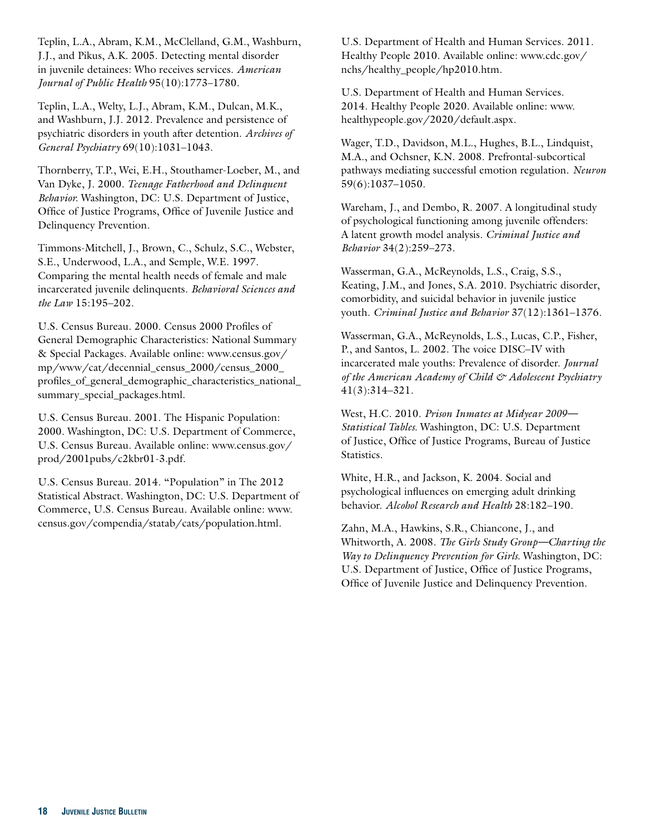Teplin, L.A., Abram, K.M., McClelland, G.M., Washburn, J.J., and Pikus, A.K. 2005. Detecting mental disorder in juvenile detainees: Who receives services. *American Journal of Public Health* 95(10):1773–1780.

Teplin, L.A., Welty, L.J., Abram, K.M., Dulcan, M.K., and Washburn, J.J. 2012. Prevalence and persistence of psychiatric disorders in youth after detention. *Archives of General Psychiatry* 69(10):1031–1043.

Thornberry, T.P., Wei, E.H., Stouthamer-Loeber, M., and Van Dyke, J. 2000. *Teenage Fatherhood and Delinquent Behavior.* Washington, DC: U.S. Department of Justice, Office of Justice Programs, Office of Juvenile Justice and Delinquency Prevention.

Timmons-Mitchell, J., Brown, C., Schulz, S.C., Webster, S.E., Underwood, L.A., and Semple, W.E. 1997. Comparing the mental health needs of female and male incarcerated juvenile delinquents. *Behavioral Sciences and the Law* 15:195–202.

U.S. Census Bureau. 2000. Census 2000 Profiles of General Demographic Characteristics: National Summary & Special Packages. Available online: [www.census.gov/](www.census.gov/mp/www/cat/decennial_census_2000/census_2000_profiles_of_general_demographic_characteristics_national_summary_special_packages.html)  [mp/www/cat/decennial\\_census\\_2000/census\\_2000\\_](www.census.gov/mp/www/cat/decennial_census_2000/census_2000_profiles_of_general_demographic_characteristics_national_summary_special_packages.html)  [profiles\\_of\\_general\\_demographic\\_characteristics\\_national\\_](www.census.gov/mp/www/cat/decennial_census_2000/census_2000_profiles_of_general_demographic_characteristics_national_summary_special_packages.html)  [summary\\_special\\_packages.html](www.census.gov/mp/www/cat/decennial_census_2000/census_2000_profiles_of_general_demographic_characteristics_national_summary_special_packages.html).

U.S. Census Bureau. 2001. The Hispanic Population: 2000. Washington, DC: U.S. Department of Commerce, U.S. Census Bureau. Available online: [www.census.gov/](www.census.gov/prod/2001pubs/c2kbr01-3.pdf) [prod/2001pubs/c2kbr01-3.pdf.](www.census.gov/prod/2001pubs/c2kbr01-3.pdf)

U.S. Census Bureau. 2014. "Population" in The 2012 Statistical Abstract. Washington, DC: U.S. Department of Commerce, U.S. Census Bureau. Available online: [www.](www.census.gov/compendia/statab/cats/population.html)  [census.gov/compendia/statab/cats/population.html.](www.census.gov/compendia/statab/cats/population.html)

U.S. Department of Health and Human Services. 2011. Healthy People 2010. Available online: [www.cdc.gov/](www.cdc.gov/nchs/healthy_people/hp2010.htm) [nchs/healthy\\_people/hp2010.htm](www.cdc.gov/nchs/healthy_people/hp2010.htm).

U.S. Department of Health and Human Services. 2014. Healthy People 2020. Available online: [www.](www.healthypeople.gov/2020/default.aspx) [healthypeople.gov/2020/default.aspx](www.healthypeople.gov/2020/default.aspx).

Wager, T.D., Davidson, M.L., Hughes, B.L., Lindquist, M.A., and Ochsner, K.N. 2008. Prefrontal-subcortical pathways mediating successful emotion regulation. *Neuron*  59(6):1037–1050.

Wareham, J., and Dembo, R. 2007. A longitudinal study of psychological functioning among juvenile offenders: A latent growth model analysis. *Criminal Justice and Behavior* 34(2):259–273.

Wasserman, G.A., McReynolds, L.S., Craig, S.S., Keating, J.M., and Jones, S.A. 2010. Psychiatric disorder, comorbidity, and suicidal behavior in juvenile justice youth. *Criminal Justice and Behavior* 37(12):1361–1376.

Wasserman, G.A., McReynolds, L.S., Lucas, C.P., Fisher, P., and Santos, L. 2002. The voice DISC–IV with incarcerated male youths: Prevalence of disorder. *Journal of the American Academy of Child & Adolescent Psychiatry*  41(3):314–321.

West, H.C. 2010. *Prison Inmates at Midyear 2009— Statistical Tables.* Washington, DC: U.S. Department of Justice, Office of Justice Programs, Bureau of Justice Statistics.

White, H.R., and Jackson, K. 2004. Social and psychological influences on emerging adult drinking behavior. *Alcohol Research and Health* 28:182–190.

Zahn, M.A., Hawkins, S.R., Chiancone, J., and Whitworth, A. 2008. *The Girls Study Group—Charting the Way to Delinquency Prevention for Girls.* Washington, DC: U.S. Department of Justice, Office of Justice Programs, Office of Juvenile Justice and Delinquency Prevention.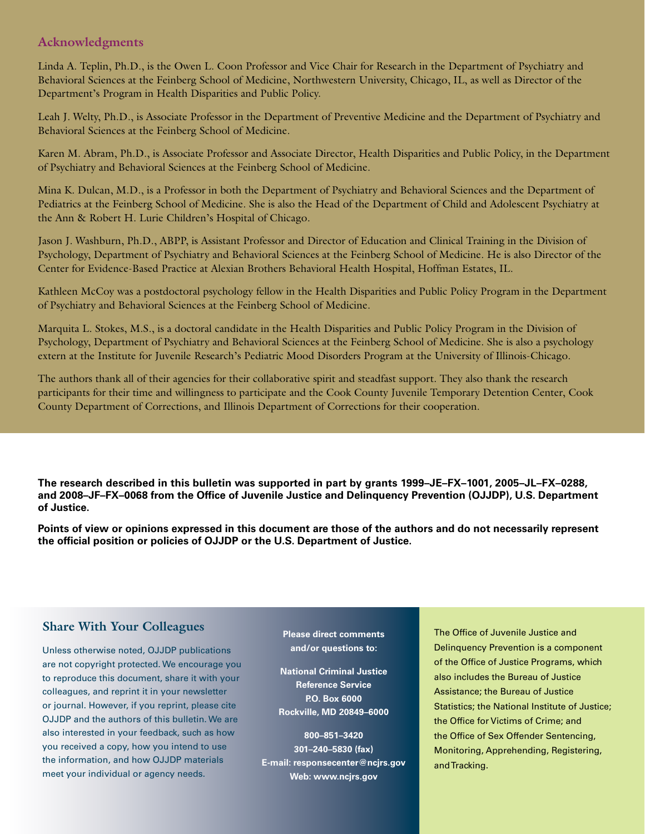#### **Acknowledgments**

Linda A. Teplin, Ph.D., is the Owen L. Coon Professor and Vice Chair for Research in the Department of Psychiatry and Behavioral Sciences at the Feinberg School of Medicine, Northwestern University, Chicago, IL, as well as Director of the Department's Program in Health Disparities and Public Policy.

Leah J. Welty, Ph.D., is Associate Professor in the Department of Preventive Medicine and the Department of Psychiatry and Behavioral Sciences at the Feinberg School of Medicine.

Karen M. Abram, Ph.D., is Associate Professor and Associate Director, Health Disparities and Public Policy, in the Department of Psychiatry and Behavioral Sciences at the Feinberg School of Medicine.

Mina K. Dulcan, M.D., is a Professor in both the Department of Psychiatry and Behavioral Sciences and the Department of Pediatrics at the Feinberg School of Medicine. She is also the Head of the Department of Child and Adolescent Psychiatry at the Ann & Robert H. Lurie Children's Hospital of Chicago.

Jason J. Washburn, Ph.D., ABPP, is Assistant Professor and Director of Education and Clinical Training in the Division of Psychology, Department of Psychiatry and Behavioral Sciences at the Feinberg School of Medicine. He is also Director of the Center for Evidence-Based Practice at Alexian Brothers Behavioral Health Hospital, Hoffman Estates, IL.

Kathleen McCoy was a postdoctoral psychology fellow in the Health Disparities and Public Policy Program in the Department of Psychiatry and Behavioral Sciences at the Feinberg School of Medicine.

Marquita L. Stokes, M.S., is a doctoral candidate in the Health Disparities and Public Policy Program in the Division of Psychology, Department of Psychiatry and Behavioral Sciences at the Feinberg School of Medicine. She is also a psychology extern at the Institute for Juvenile Research's Pediatric Mood Disorders Program at the University of Illinois-Chicago.

The authors thank all of their agencies for their collaborative spirit and steadfast support. They also thank the research participants for their time and willingness to participate and the Cook County Juvenile Temporary Detention Center, Cook County Department of Corrections, and Illinois Department of Corrections for their cooperation.

**The research described in this bulletin was supported in part by grants 1999–JE–FX–1001, 2005–JL–FX–0288, and 2008–JF–FX–0068 from the Office of Juvenile Justice and Delinquency Prevention (OJJDP), U.S. Department of Justice.** 

**Points of view or opinions expressed in this document are those of the authors and do not necessarily represent the official position or policies of OJJDP or the U.S. Department of Justice.** 

### **Share With Your Colleagues**

Unless otherwise noted, OJJDP publications are not copyright protected. We encourage you to reproduce this document, share it with your colleagues, and reprint it in your newsletter or journal. However, if you reprint, please cite OJJDP and the authors of this bulletin. We are also interested in your feedback, such as how you received a copy, how you intend to use the information, and how OJJDP materials meet your individual or agency needs.

**Please direct comments and/or questions to:** 

**National Criminal Justice Reference Service P.O. Box 6000 Rockville, MD 20849–6000** 

**800–851–3420 301–240–5830 (fax) E-mail: responsecenter@ncjrs.gov Web: www.ncjrs.gov** 

Delinquency Prevention is a component of the Office of Justice Programs, which also includes the Bureau of Justice Assistance; the Bureau of Justice **Assistance; the Bureau** Statistics; the National Institute of Justice;<br> Institute of the Automal Motherty of Section, the Office for Victims of Crime; and the Office of Sex Offender Sentencing,  $\hphantom{\big(}\hphantom{\big)}$ Monitoring, Apprehending, Registering, The Office of Juvenile Justice and and Tracking.